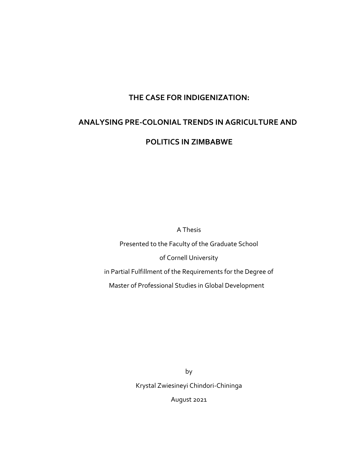## **THE CASE FOR INDIGENIZATION:**

# **ANALYSING PRE-COLONIAL TRENDS IN AGRICULTURE AND**

## **POLITICS IN ZIMBABWE**

A Thesis

Presented to the Faculty of the Graduate School of Cornell University

in Partial Fulfillment of the Requirements for the Degree of

Master of Professional Studies in Global Development

by Krystal Zwiesineyi Chindori-Chininga

August 2021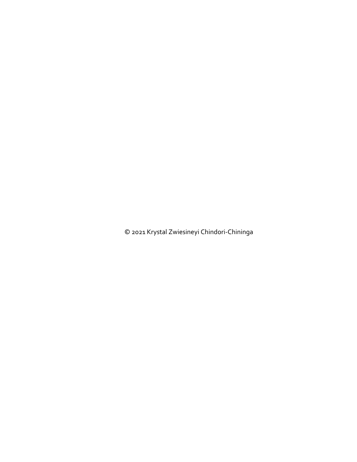© 2021 Krystal Zwiesineyi Chindori-Chininga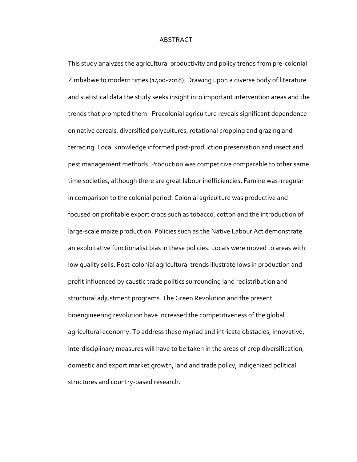### ABSTRACT

This study analyzes the agricultural productivity and policy trends from pre-colonial Zimbabwe to modern times (1400-2018). Drawing upon a diverse body of literature and statistical data the study seeks insight into important intervention areas and the trends that prompted them. Precolonial agriculture reveals significant dependence on native cereals, diversified polycultures, rotational cropping and grazing and terracing. Local knowledge informed post-production preservation and insect and pest management methods. Production was competitive comparable to other same time societies, although there are great labour inefficiencies. Famine was irregular in comparison to the colonial period. Colonial agriculture was productive and focused on profitable export crops such as tobacco, cotton and the introduction of large-scale maize production. Policies such as the Native Labour Act demonstrate an exploitative functionalist bias in these policies. Locals were moved to areas with low quality soils. Post-colonial agricultural trends illustrate lows in production and profit influenced by caustic trade politics surrounding land redistribution and structural adjustment programs. The Green Revolution and the present bioengineering revolution have increased the competitiveness of the global agricultural economy. To address these myriad and intricate obstacles, innovative, interdisciplinary measures will have to be taken in the areas of crop diversification, domestic and export market growth, land and trade policy, indigenized political structures and country-based research.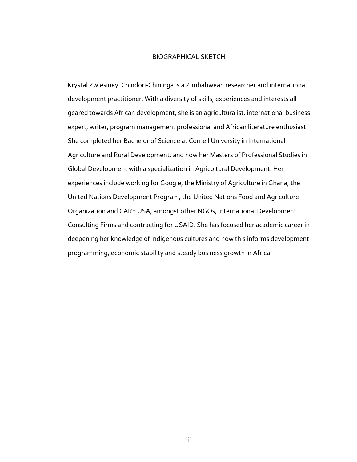#### BIOGRAPHICAL SKETCH

Krystal Zwiesineyi Chindori-Chininga is a Zimbabwean researcher and international development practitioner. With a diversity of skills, experiences and interests all geared towards African development, she is an agriculturalist, international business expert, writer, program management professional and African literature enthusiast. She completed her Bachelor of Science at Cornell University in International Agriculture and Rural Development, and now her Masters of Professional Studies in Global Development with a specialization in Agricultural Development. Her experiences include working for Google, the Ministry of Agriculture in Ghana, the United Nations Development Program, the United Nations Food and Agriculture Organization and CARE USA, amongst other NGOs, International Development Consulting Firms and contracting for USAID. She has focused her academic career in deepening her knowledge of indigenous cultures and how this informs development programming, economic stability and steady business growth in Africa.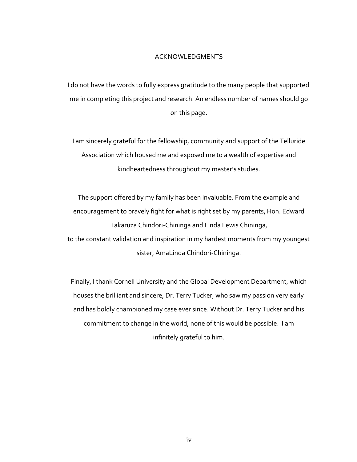### ACKNOWLEDGMENTS

I do not have the words to fully express gratitude to the many people that supported me in completing this project and research. An endless number of names should go on this page.

I am sincerely grateful for the fellowship, community and support of the Telluride Association which housed me and exposed me to a wealth of expertise and kindheartedness throughout my master's studies.

The support offered by my family has been invaluable. From the example and encouragement to bravely fight for what is right set by my parents, Hon. Edward Takaruza Chindori-Chininga and Linda Lewis Chininga, to the constant validation and inspiration in my hardest moments from my youngest sister, AmaLinda Chindori-Chininga.

Finally, I thank Cornell University and the Global Development Department, which houses the brilliant and sincere, Dr. Terry Tucker, who saw my passion very early and has boldly championed my case ever since. Without Dr. Terry Tucker and his commitment to change in the world, none of this would be possible. I am infinitely grateful to him.

iv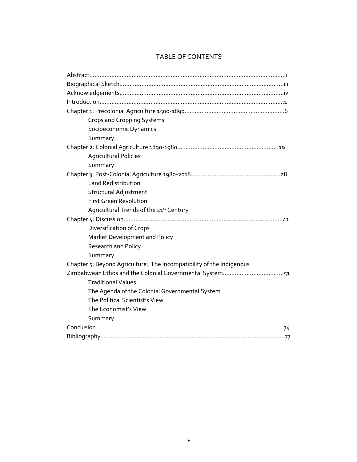## TABLE OF CONTENTS

| <b>Crops and Cropping Systems</b>                                    |
|----------------------------------------------------------------------|
| Socioeconomic Dynamics                                               |
| Summary                                                              |
|                                                                      |
| <b>Agricultural Policies</b>                                         |
| Summary                                                              |
|                                                                      |
| <b>Land Redistribution</b>                                           |
| Structural Adjustment                                                |
| <b>First Green Revolution</b>                                        |
| Agricultural Trends of the 21st Century                              |
|                                                                      |
| Diversification of Crops                                             |
| Market Development and Policy                                        |
| <b>Research and Policy</b>                                           |
| Summary                                                              |
| Chapter 5: Beyond Agriculture: The Incompatibility of the Indigenous |
| Zimbabwean Ethos and the Colonial Governmental System51              |
| <b>Traditional Values</b>                                            |
| The Agenda of the Colonial Governmental System                       |
| The Political Scientist's View                                       |
| The Economist's View                                                 |
| Summary                                                              |
|                                                                      |
|                                                                      |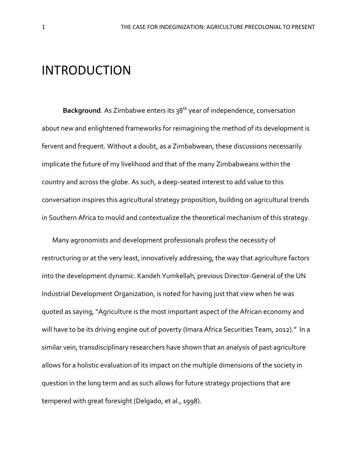## INTRODUCTION

**Background**. As Zimbabwe enters its 38<sup>th</sup> year of independence, conversation about new and enlightened frameworks for reimagining the method of its development is fervent and frequent. Without a doubt, as a Zimbabwean, these discussions necessarily implicate the future of my livelihood and that of the many Zimbabweans within the country and across the globe. As such, a deep-seated interest to add value to this conversation inspires this agricultural strategy proposition, building on agricultural trends in Southern Africa to mould and contextualize the theoretical mechanism of this strategy.

Many agronomists and development professionals profess the necessity of restructuring or at the very least, innovatively addressing, the way that agriculture factors into the development dynamic. Kandeh Yumkellah, previous Director-General of the UN Industrial Development Organization, is noted for having just that view when he was quoted as saying, "Agriculture is the most important aspect of the African economy and will have to be its driving engine out of poverty (Imara Africa Securities Team, 2012)." In a similar vein, transdisciplinary researchers have shown that an analysis of past agriculture allows for a holistic evaluation of its impact on the multiple dimensions of the society in question in the long term and as such allows for future strategy projections that are tempered with great foresight (Delgado, et al., 1998).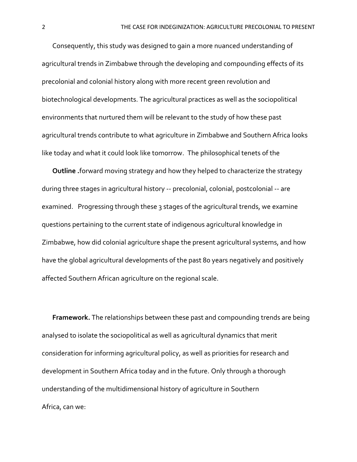Consequently, this study was designed to gain a more nuanced understanding of agricultural trends in Zimbabwe through the developing and compounding effects of its precolonial and colonial history along with more recent green revolution and biotechnological developments. The agricultural practices as well as the sociopolitical environments that nurtured them will be relevant to the study of how these past agricultural trends contribute to what agriculture in Zimbabwe and Southern Africa looks like today and what it could look like tomorrow. The philosophical tenets of the

**Outline .**forward moving strategy and how they helped to characterize the strategy during three stages in agricultural history -- precolonial, colonial, postcolonial -- are examined. Progressing through these 3 stages of the agricultural trends, we examine questions pertaining to the current state of indigenous agricultural knowledge in Zimbabwe, how did colonial agriculture shape the present agricultural systems, and how have the global agricultural developments of the past 80 years negatively and positively affected Southern African agriculture on the regional scale.

**Framework.** The relationships between these past and compounding trends are being analysed to isolate the sociopolitical as well as agricultural dynamics that merit consideration for informing agricultural policy, as well as priorities for research and development in Southern Africa today and in the future. Only through a thorough understanding of the multidimensional history of agriculture in Southern Africa, can we: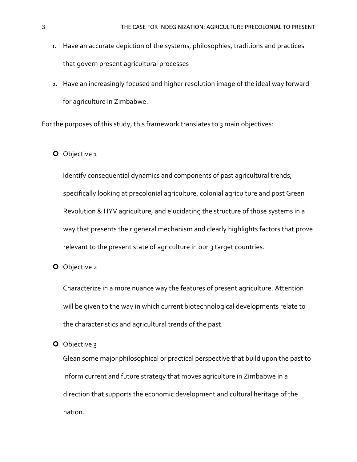- 1. Have an accurate depiction of the systems, philosophies, traditions and practices that govern present agricultural processes
- 2. Have an increasingly focused and higher resolution image of the ideal way forward for agriculture in Zimbabwe.

For the purposes of this study, this framework translates to 3 main objectives:

## O Objective 1

Identify consequential dynamics and components of past agricultural trends, specifically looking at precolonial agriculture, colonial agriculture and post Green Revolution & HYV agriculture, and elucidating the structure of those systems in a way that presents their general mechanism and clearly highlights factors that prove relevant to the present state of agriculture in our 3 target countries.

**O** Objective 2

Characterize in a more nuance way the features of present agriculture. Attention will be given to the way in which current biotechnological developments relate to the characteristics and agricultural trends of the past.

O Objective 3

Glean some major philosophical or practical perspective that build upon the past to inform current and future strategy that moves agriculture in Zimbabwe in a direction that supports the economic development and cultural heritage of the nation.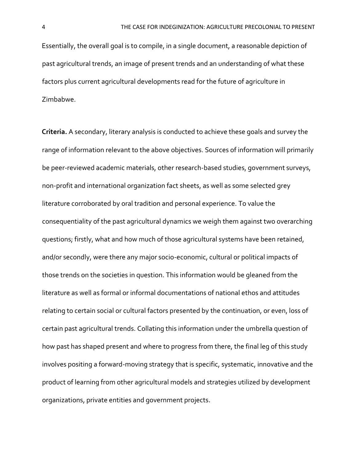Essentially, the overall goal is to compile, in a single document, a reasonable depiction of past agricultural trends, an image of present trends and an understanding of what these factors plus current agricultural developments read for the future of agriculture in Zimbabwe.

**Criteria.** A secondary, literary analysis is conducted to achieve these goals and survey the range of information relevant to the above objectives. Sources of information will primarily be peer-reviewed academic materials, other research-based studies, government surveys, non-profit and international organization fact sheets, as well as some selected grey literature corroborated by oral tradition and personal experience. To value the consequentiality of the past agricultural dynamics we weigh them against two overarching questions; firstly, what and how much of those agricultural systems have been retained, and/or secondly, were there any major socio-economic, cultural or political impacts of those trends on the societies in question. This information would be gleaned from the literature as well as formal or informal documentations of national ethos and attitudes relating to certain social or cultural factors presented by the continuation, or even, loss of certain past agricultural trends. Collating this information under the umbrella question of how past has shaped present and where to progress from there, the final leg of this study involves positing a forward-moving strategy that is specific, systematic, innovative and the product of learning from other agricultural models and strategies utilized by development organizations, private entities and government projects.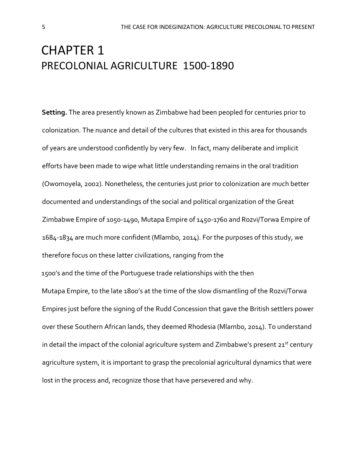## CHAPTER 1 PRECOLONIAL AGRICULTURE 1500-1890

**Setting.** The area presently known as Zimbabwe had been peopled for centuries prior to colonization. The nuance and detail of the cultures that existed in this area for thousands of years are understood confidently by very few. In fact, many deliberate and implicit efforts have been made to wipe what little understanding remains in the oral tradition (Owomoyela, 2002). Nonetheless, the centuries just prior to colonization are much better documented and understandings of the social and political organization of the Great Zimbabwe Empire of 1050-1490, Mutapa Empire of 1450-1760 and Rozvi/Torwa Empire of 1684-1834 are much more confident (Mlambo, 2014). For the purposes of this study, we therefore focus on these latter civilizations, ranging from the 1500's and the time of the Portuguese trade relationships with the then Mutapa Empire, to the late 1800's at the time of the slow dismantling of the Rozvi/Torwa Empires just before the signing of the Rudd Concession that gave the British settlers power over these Southern African lands, they deemed Rhodesia (Mlambo, 2014). To understand in detail the impact of the colonial agriculture system and Zimbabwe's present  $21<sup>st</sup>$  century agriculture system, it is important to grasp the precolonial agricultural dynamics that were

lost in the process and, recognize those that have persevered and why.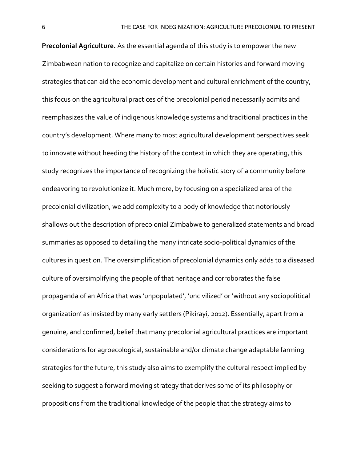**Precolonial Agriculture.** As the essential agenda of this study is to empower the new Zimbabwean nation to recognize and capitalize on certain histories and forward moving strategies that can aid the economic development and cultural enrichment of the country, this focus on the agricultural practices of the precolonial period necessarily admits and reemphasizes the value of indigenous knowledge systems and traditional practices in the country's development. Where many to most agricultural development perspectives seek to innovate without heeding the history of the context in which they are operating, this study recognizes the importance of recognizing the holistic story of a community before endeavoring to revolutionize it. Much more, by focusing on a specialized area of the precolonial civilization, we add complexity to a body of knowledge that notoriously shallows out the description of precolonial Zimbabwe to generalized statements and broad summaries as opposed to detailing the many intricate socio-political dynamics of the cultures in question. The oversimplification of precolonial dynamics only adds to a diseased culture of oversimplifying the people of that heritage and corroborates the false propaganda of an Africa that was 'unpopulated', 'uncivilized' or 'without any sociopolitical organization' as insisted by many early settlers (Pikirayi, 2012). Essentially, apart from a genuine, and confirmed, belief that many precolonial agricultural practices are important considerations for agroecological, sustainable and/or climate change adaptable farming strategies for the future, this study also aims to exemplify the cultural respect implied by seeking to suggest a forward moving strategy that derives some of its philosophy or propositions from the traditional knowledge of the people that the strategy aims to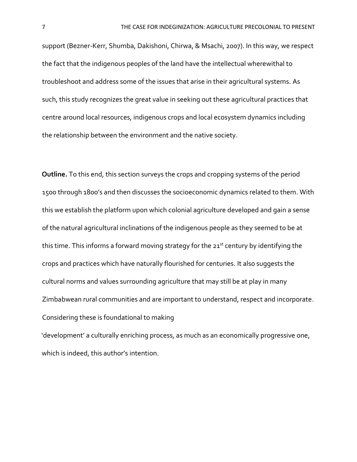support (Bezner-Kerr, Shumba, Dakishoni, Chirwa, & Msachi, 2007). In this way, we respect the fact that the indigenous peoples of the land have the intellectual wherewithal to troubleshoot and address some of the issues that arise in their agricultural systems. As such, this study recognizes the great value in seeking out these agricultural practices that centre around local resources, indigenous crops and local ecosystem dynamics including the relationship between the environment and the native society.

**Outline.** To this end, this section surveys the crops and cropping systems of the period 1500 through 1800's and then discusses the socioeconomic dynamics related to them. With this we establish the platform upon which colonial agriculture developed and gain a sense of the natural agricultural inclinations of the indigenous people as they seemed to be at this time. This informs a forward moving strategy for the  $21<sup>st</sup>$  century by identifying the crops and practices which have naturally flourished for centuries. It also suggests the cultural norms and values surrounding agriculture that may still be at play in many Zimbabwean rural communities and are important to understand, respect and incorporate. Considering these is foundational to making

'development' a culturally enriching process, as much as an economically progressive one, which is indeed, this author's intention.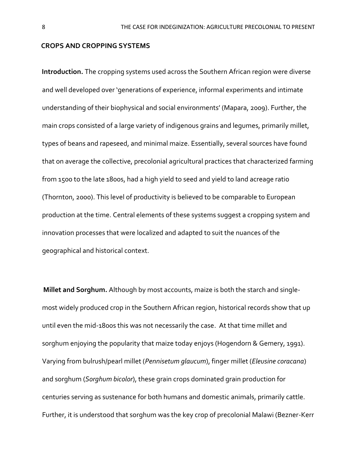### **CROPS AND CROPPING SYSTEMS**

**Introduction.** The cropping systems used across the Southern African region were diverse and well developed over 'generations of experience, informal experiments and intimate understanding of their biophysical and social environments' (Mapara, 2009). Further, the main crops consisted of a large variety of indigenous grains and legumes, primarily millet, types of beans and rapeseed, and minimal maize. Essentially, several sources have found that on average the collective, precolonial agricultural practices that characterized farming from 1500 to the late 1800s, had a high yield to seed and yield to land acreage ratio (Thornton, 2000). This level of productivity is believed to be comparable to European production at the time. Central elements of these systems suggest a cropping system and innovation processes that were localized and adapted to suit the nuances of the geographical and historical context.

**Millet and Sorghum.** Although by most accounts, maize is both the starch and singlemost widely produced crop in the Southern African region, historical records show that up until even the mid-1800s this was not necessarily the case. At that time millet and sorghum enjoying the popularity that maize today enjoys (Hogendorn & Gemery, 1991). Varying from bulrush/pearl millet (*Pennisetum glaucum*), finger millet (*Eleusine coracana*) and sorghum (*Sorghum bicolor*), these grain crops dominated grain production for centuries serving as sustenance for both humans and domestic animals, primarily cattle. Further, it is understood that sorghum was the key crop of precolonial Malawi (Bezner-Kerr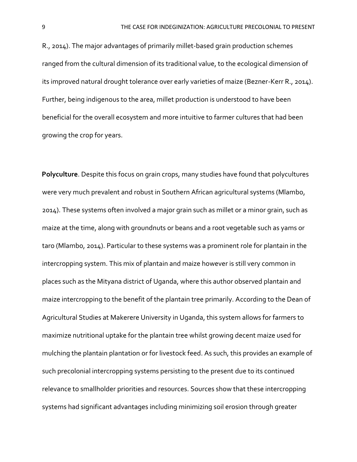R., 2014). The major advantages of primarily millet-based grain production schemes ranged from the cultural dimension of its traditional value, to the ecological dimension of its improved natural drought tolerance over early varieties of maize (Bezner-Kerr R., 2014). Further, being indigenous to the area, millet production is understood to have been beneficial for the overall ecosystem and more intuitive to farmer cultures that had been growing the crop for years.

**Polyculture**. Despite this focus on grain crops, many studies have found that polycultures were very much prevalent and robust in Southern African agricultural systems (Mlambo, 2014). These systems often involved a major grain such as millet or a minor grain, such as maize at the time, along with groundnuts or beans and a root vegetable such as yams or taro (Mlambo, 2014). Particular to these systems was a prominent role for plantain in the intercropping system. This mix of plantain and maize however is still very common in places such as the Mityana district of Uganda, where this author observed plantain and maize intercropping to the benefit of the plantain tree primarily. According to the Dean of Agricultural Studies at Makerere University in Uganda, this system allows for farmers to maximize nutritional uptake for the plantain tree whilst growing decent maize used for mulching the plantain plantation or for livestock feed. As such, this provides an example of such precolonial intercropping systems persisting to the present due to its continued relevance to smallholder priorities and resources. Sources show that these intercropping systems had significant advantages including minimizing soil erosion through greater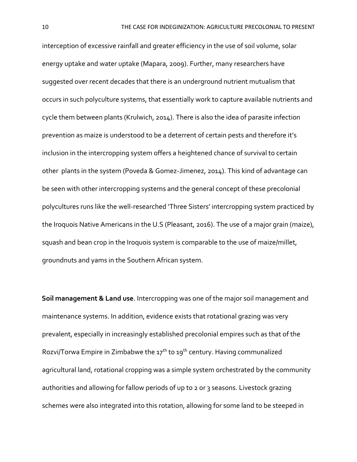interception of excessive rainfall and greater efficiency in the use of soil volume, solar energy uptake and water uptake (Mapara, 2009). Further, many researchers have suggested over recent decades that there is an underground nutrient mutualism that occurs in such polyculture systems, that essentially work to capture available nutrients and cycle them between plants (Krulwich, 2014). There is also the idea of parasite infection prevention as maize is understood to be a deterrent of certain pests and therefore it's inclusion in the intercropping system offers a heightened chance of survival to certain other plants in the system (Poveda & Gomez-Jimenez, 2014). This kind of advantage can be seen with other intercropping systems and the general concept of these precolonial polycultures runs like the well-researched 'Three Sisters' intercropping system practiced by the Iroquois Native Americans in the U.S (Pleasant, 2016). The use of a major grain (maize), squash and bean crop in the Iroquois system is comparable to the use of maize/millet, groundnuts and yams in the Southern African system.

**Soil management & Land use**. Intercropping was one of the major soil management and maintenance systems. In addition, evidence exists that rotational grazing was very prevalent, especially in increasingly established precolonial empires such as that of the Rozvi/Torwa Empire in Zimbabwe the 17<sup>th</sup> to 19<sup>th</sup> century. Having communalized agricultural land, rotational cropping was a simple system orchestrated by the community authorities and allowing for fallow periods of up to 2 or 3 seasons. Livestock grazing schemes were also integrated into this rotation, allowing for some land to be steeped in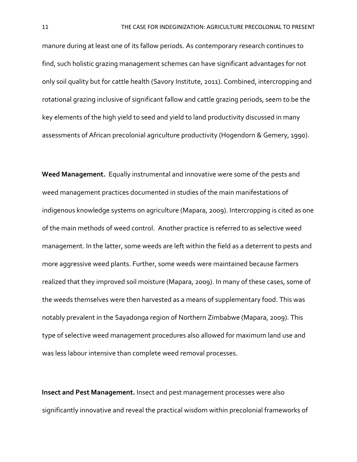manure during at least one of its fallow periods. As contemporary research continues to find, such holistic grazing management schemes can have significant advantages for not only soil quality but for cattle health (Savory Institute, 2011). Combined, intercropping and rotational grazing inclusive of significant fallow and cattle grazing periods, seem to be the key elements of the high yield to seed and yield to land productivity discussed in many assessments of African precolonial agriculture productivity (Hogendorn & Gemery, 1990).

**Weed Management.** Equally instrumental and innovative were some of the pests and weed management practices documented in studies of the main manifestations of indigenous knowledge systems on agriculture (Mapara, 2009). Intercropping is cited as one of the main methods of weed control. Another practice is referred to as selective weed management. In the latter, some weeds are left within the field as a deterrent to pests and more aggressive weed plants. Further, some weeds were maintained because farmers realized that they improved soil moisture (Mapara, 2009). In many of these cases, some of the weeds themselves were then harvested as a means of supplementary food. This was notably prevalent in the Sayadonga region of Northern Zimbabwe (Mapara, 2009). This type of selective weed management procedures also allowed for maximum land use and was less labour intensive than complete weed removal processes.

**Insect and Pest Management.** Insect and pest management processes were also significantly innovative and reveal the practical wisdom within precolonial frameworks of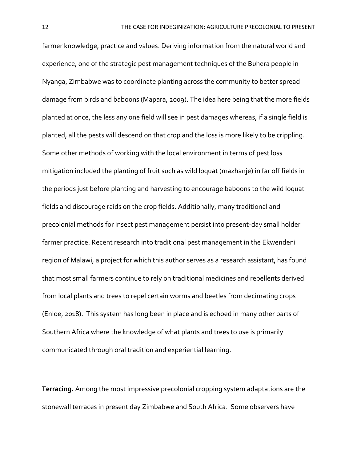farmer knowledge, practice and values. Deriving information from the natural world and experience, one of the strategic pest management techniques of the Buhera people in Nyanga, Zimbabwe was to coordinate planting across the community to better spread damage from birds and baboons (Mapara, 2009). The idea here being that the more fields planted at once, the less any one field will see in pest damages whereas, if a single field is planted, all the pests will descend on that crop and the loss is more likely to be crippling. Some other methods of working with the local environment in terms of pest loss mitigation included the planting of fruit such as wild loquat (mazhanje) in far off fields in the periods just before planting and harvesting to encourage baboons to the wild loquat fields and discourage raids on the crop fields. Additionally, many traditional and precolonial methods for insect pest management persist into present-day small holder farmer practice. Recent research into traditional pest management in the Ekwendeni region of Malawi, a project for which this author serves as a research assistant, has found that most small farmers continue to rely on traditional medicines and repellents derived from local plants and trees to repel certain worms and beetles from decimating crops (Enloe, 2018). This system has long been in place and is echoed in many other parts of Southern Africa where the knowledge of what plants and trees to use is primarily communicated through oral tradition and experiential learning.

**Terracing.** Among the most impressive precolonial cropping system adaptations are the stonewall terraces in present day Zimbabwe and South Africa. Some observers have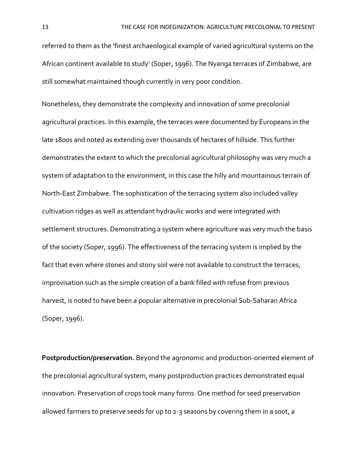referred to them as the 'finest archaeological example of varied agricultural systems on the African continent available to study' (Soper, 1996). The Nyanga terraces of Zimbabwe, are still somewhat maintained though currently in very poor condition.

Nonetheless, they demonstrate the complexity and innovation of some precolonial agricultural practices. In this example, the terraces were documented by Europeans in the late 1800s and noted as extending over thousands of hectares of hillside. This further demonstrates the extent to which the precolonial agricultural philosophy was very much a system of adaptation to the environment, in this case the hilly and mountainous terrain of North-East Zimbabwe. The sophistication of the terracing system also included valley cultivation ridges as well as attendant hydraulic works and were integrated with settlement structures. Demonstrating a system where agriculture was very much the basis of the society (Soper, 1996). The effectiveness of the terracing system is implied by the fact that even where stones and stony soil were not available to construct the terraces, improvisation such as the simple creation of a bank filled with refuse from previous harvest, is noted to have been a popular alternative in precolonial Sub-Saharan Africa (Soper, 1996).

**Postproduction/preservation.** Beyond the agronomic and production-oriented element of the precolonial agricultural system, many postproduction practices demonstrated equal innovation. Preservation of crops took many forms. One method for seed preservation allowed farmers to preserve seeds for up to 2-3 seasons by covering them in a soot, a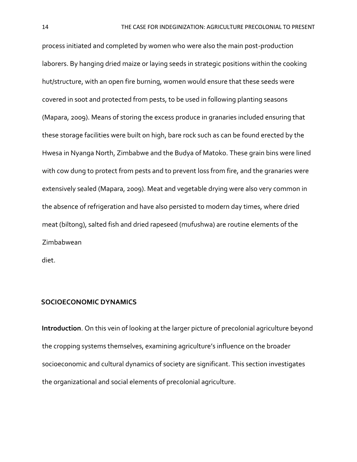process initiated and completed by women who were also the main post-production laborers. By hanging dried maize or laying seeds in strategic positions within the cooking hut/structure, with an open fire burning, women would ensure that these seeds were covered in soot and protected from pests, to be used in following planting seasons (Mapara, 2009). Means of storing the excess produce in granaries included ensuring that these storage facilities were built on high, bare rock such as can be found erected by the Hwesa in Nyanga North, Zimbabwe and the Budya of Matoko. These grain bins were lined with cow dung to protect from pests and to prevent loss from fire, and the granaries were extensively sealed (Mapara, 2009). Meat and vegetable drying were also very common in the absence of refrigeration and have also persisted to modern day times, where dried meat (biltong), salted fish and dried rapeseed (mufushwa) are routine elements of the Zimbabwean

diet.

### **SOCIOECONOMIC DYNAMICS**

**Introduction**. On this vein of looking at the larger picture of precolonial agriculture beyond the cropping systems themselves, examining agriculture's influence on the broader socioeconomic and cultural dynamics of society are significant. This section investigates the organizational and social elements of precolonial agriculture.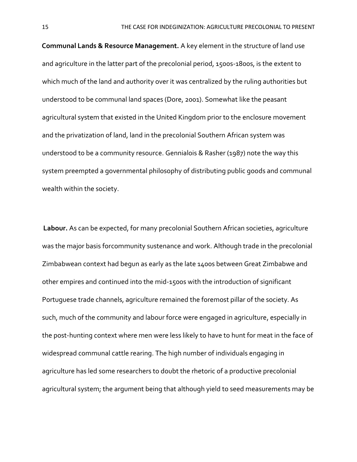**Communal Lands & Resource Management.** A key element in the structure of land use and agriculture in the latter part of the precolonial period, 1500s-1800s, is the extent to which much of the land and authority over it was centralized by the ruling authorities but understood to be communal land spaces (Dore, 2001). Somewhat like the peasant agricultural system that existed in the United Kingdom prior to the enclosure movement and the privatization of land, land in the precolonial Southern African system was understood to be a community resource. Gennialois & Rasher (1987) note the way this system preempted a governmental philosophy of distributing public goods and communal wealth within the society.

**Labour.** As can be expected, for many precolonial Southern African societies, agriculture was the major basis forcommunity sustenance and work. Although trade in the precolonial Zimbabwean context had begun as early as the late 1400s between Great Zimbabwe and other empires and continued into the mid-1500s with the introduction of significant Portuguese trade channels, agriculture remained the foremost pillar of the society. As such, much of the community and labour force were engaged in agriculture, especially in the post-hunting context where men were less likely to have to hunt for meat in the face of widespread communal cattle rearing. The high number of individuals engaging in agriculture has led some researchers to doubt the rhetoric of a productive precolonial agricultural system; the argument being that although yield to seed measurements may be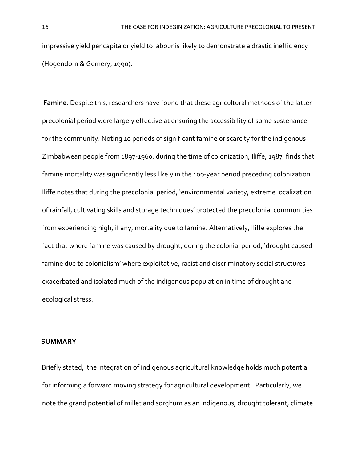impressive yield per capita or yield to labour is likely to demonstrate a drastic inefficiency (Hogendorn & Gemery, 1990).

**Famine**. Despite this, researchers have found that these agricultural methods of the latter precolonial period were largely effective at ensuring the accessibility of some sustenance for the community. Noting 10 periods of significant famine or scarcity for the indigenous Zimbabwean people from 1897-1960, during the time of colonization, Iliffe, 1987, finds that famine mortality was significantly less likely in the 100-year period preceding colonization. Iliffe notes that during the precolonial period, 'environmental variety, extreme localization of rainfall, cultivating skills and storage techniques' protected the precolonial communities from experiencing high, if any, mortality due to famine. Alternatively, Iliffe explores the fact that where famine was caused by drought, during the colonial period, 'drought caused famine due to colonialism' where exploitative, racist and discriminatory social structures exacerbated and isolated much of the indigenous population in time of drought and ecological stress.

## **SUMMARY**

Briefly stated, the integration of indigenous agricultural knowledge holds much potential for informing a forward moving strategy for agricultural development.. Particularly, we note the grand potential of millet and sorghum as an indigenous, drought tolerant, climate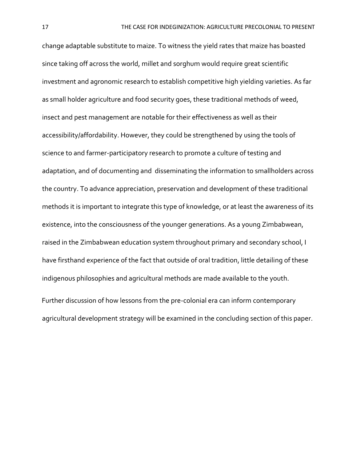change adaptable substitute to maize. To witness the yield rates that maize has boasted since taking off across the world, millet and sorghum would require great scientific investment and agronomic research to establish competitive high yielding varieties. As far as small holder agriculture and food security goes, these traditional methods of weed, insect and pest management are notable for their effectiveness as well as their accessibility/affordability. However, they could be strengthened by using the tools of science to and farmer-participatory research to promote a culture of testing and adaptation, and of documenting and disseminating the information to smallholders across the country. To advance appreciation, preservation and development of these traditional methods it is important to integrate this type of knowledge, or at least the awareness of its existence, into the consciousness of the younger generations. As a young Zimbabwean, raised in the Zimbabwean education system throughout primary and secondary school, I have firsthand experience of the fact that outside of oral tradition, little detailing of these indigenous philosophies and agricultural methods are made available to the youth.

Further discussion of how lessons from the pre-colonial era can inform contemporary agricultural development strategy will be examined in the concluding section of this paper.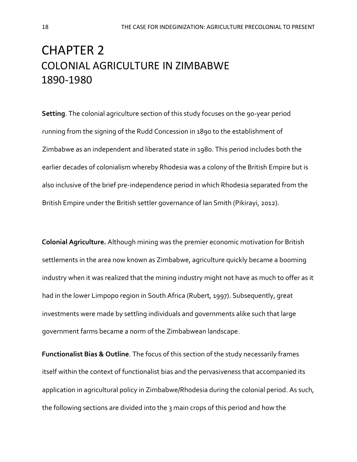## CHAPTER 2 COLONIAL AGRICULTURE IN ZIMBABWE 1890-1980

**Setting**. The colonial agriculture section of this study focuses on the 90-year period running from the signing of the Rudd Concession in 1890 to the establishment of Zimbabwe as an independent and liberated state in 1980. This period includes both the earlier decades of colonialism whereby Rhodesia was a colony of the British Empire but is also inclusive of the brief pre-independence period in which Rhodesia separated from the British Empire under the British settler governance of Ian Smith (Pikirayi, 2012).

**Colonial Agriculture.** Although mining was the premier economic motivation for British settlements in the area now known as Zimbabwe, agriculture quickly became a booming industry when it was realized that the mining industry might not have as much to offer as it had in the lower Limpopo region in South Africa (Rubert, 1997). Subsequently, great investments were made by settling individuals and governments alike such that large government farms became a norm of the Zimbabwean landscape.

**Functionalist Bias & Outline**. The focus of this section of the study necessarily frames itself within the context of functionalist bias and the pervasiveness that accompanied its application in agricultural policy in Zimbabwe/Rhodesia during the colonial period. As such, the following sections are divided into the 3 main crops of this period and how the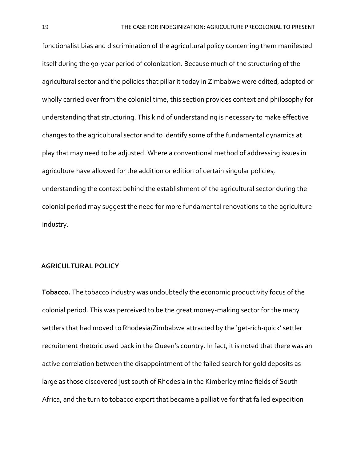functionalist bias and discrimination of the agricultural policy concerning them manifested itself during the 90-year period of colonization. Because much of the structuring of the agricultural sector and the policies that pillar it today in Zimbabwe were edited, adapted or wholly carried over from the colonial time, this section provides context and philosophy for understanding that structuring. This kind of understanding is necessary to make effective changes to the agricultural sector and to identify some of the fundamental dynamics at play that may need to be adjusted. Where a conventional method of addressing issues in agriculture have allowed for the addition or edition of certain singular policies, understanding the context behind the establishment of the agricultural sector during the colonial period may suggest the need for more fundamental renovations to the agriculture industry.

#### **AGRICULTURAL POLICY**

**Tobacco.** The tobacco industry was undoubtedly the economic productivity focus of the colonial period. This was perceived to be the great money-making sector for the many settlers that had moved to Rhodesia/Zimbabwe attracted by the 'get-rich-quick' settler recruitment rhetoric used back in the Queen's country. In fact, it is noted that there was an active correlation between the disappointment of the failed search for gold deposits as large as those discovered just south of Rhodesia in the Kimberley mine fields of South Africa, and the turn to tobacco export that became a palliative for that failed expedition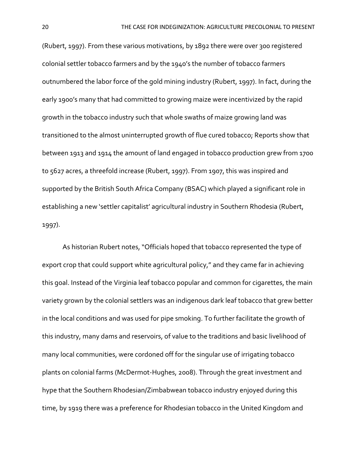(Rubert, 1997). From these various motivations, by 1892 there were over 300 registered colonial settler tobacco farmers and by the 1940's the number of tobacco farmers outnumbered the labor force of the gold mining industry (Rubert, 1997). In fact, during the early 1900's many that had committed to growing maize were incentivized by the rapid growth in the tobacco industry such that whole swaths of maize growing land was transitioned to the almost uninterrupted growth of flue cured tobacco; Reports show that between 1913 and 1914 the amount of land engaged in tobacco production grew from 1700 to 5627 acres, a threefold increase (Rubert, 1997). From 1907, this was inspired and supported by the British South Africa Company (BSAC) which played a significant role in establishing a new 'settler capitalist' agricultural industry in Southern Rhodesia (Rubert, 1997).

 As historian Rubert notes, "Officials hoped that tobacco represented the type of export crop that could support white agricultural policy," and they came far in achieving this goal. Instead of the Virginia leaf tobacco popular and common for cigarettes, the main variety grown by the colonial settlers was an indigenous dark leaf tobacco that grew better in the local conditions and was used for pipe smoking. To further facilitate the growth of this industry, many dams and reservoirs, of value to the traditions and basic livelihood of many local communities, were cordoned off for the singular use of irrigating tobacco plants on colonial farms (McDermot-Hughes, 2008). Through the great investment and hype that the Southern Rhodesian/Zimbabwean tobacco industry enjoyed during this time, by 1919 there was a preference for Rhodesian tobacco in the United Kingdom and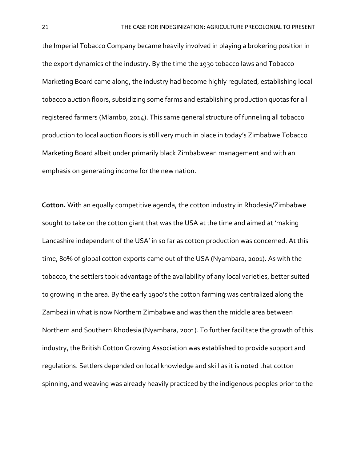the Imperial Tobacco Company became heavily involved in playing a brokering position in the export dynamics of the industry. By the time the 1930 tobacco laws and Tobacco Marketing Board came along, the industry had become highly regulated, establishing local tobacco auction floors, subsidizing some farms and establishing production quotas for all registered farmers (Mlambo, 2014). This same general structure of funneling all tobacco production to local auction floors is still very much in place in today's Zimbabwe Tobacco Marketing Board albeit under primarily black Zimbabwean management and with an emphasis on generating income for the new nation.

**Cotton.** With an equally competitive agenda, the cotton industry in Rhodesia/Zimbabwe sought to take on the cotton giant that was the USA at the time and aimed at 'making Lancashire independent of the USA' in so far as cotton production was concerned. At this time, 80% of global cotton exports came out of the USA (Nyambara, 2001). As with the tobacco, the settlers took advantage of the availability of any local varieties, better suited to growing in the area. By the early 1900's the cotton farming was centralized along the Zambezi in what is now Northern Zimbabwe and was then the middle area between Northern and Southern Rhodesia (Nyambara, 2001). To further facilitate the growth of this industry, the British Cotton Growing Association was established to provide support and regulations. Settlers depended on local knowledge and skill as it is noted that cotton spinning, and weaving was already heavily practiced by the indigenous peoples prior to the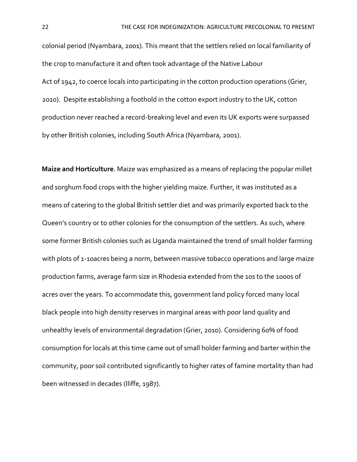colonial period (Nyambara, 2001). This meant that the settlers relied on local familiarity of the crop to manufacture it and often took advantage of the Native Labour Act of 1942, to coerce locals into participating in the cotton production operations (Grier, 2010). Despite establishing a foothold in the cotton export industry to the UK, cotton production never reached a record-breaking level and even its UK exports were surpassed by other British colonies, including South Africa (Nyambara, 2001).

**Maize and Horticulture**. Maize was emphasized as a means of replacing the popular millet and sorghum food crops with the higher yielding maize. Further, it was instituted as a means of catering to the global British settler diet and was primarily exported back to the Queen's country or to other colonies for the consumption of the settlers. As such, where some former British colonies such as Uganda maintained the trend of small holder farming with plots of 1-10acres being a norm, between massive tobacco operations and large maize production farms, average farm size in Rhodesia extended from the 10s to the 1000s of acres over the years. To accommodate this, government land policy forced many local black people into high density reserves in marginal areas with poor land quality and unhealthy levels of environmental degradation (Grier, 2010). Considering 60% of food consumption for locals at this time came out of small holder farming and barter within the community, poor soil contributed significantly to higher rates of famine mortality than had been witnessed in decades (Iliffe, 1987).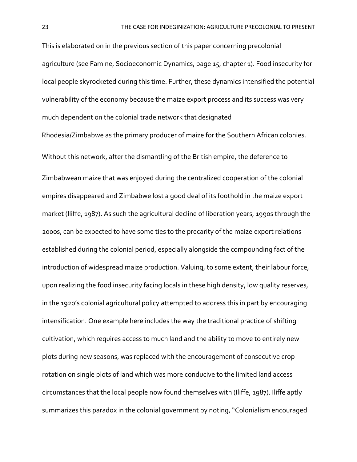This is elaborated on in the previous section of this paper concerning precolonial agriculture (see Famine, Socioeconomic Dynamics, page 15, chapter 1). Food insecurity for local people skyrocketed during this time. Further, these dynamics intensified the potential vulnerability of the economy because the maize export process and its success was very much dependent on the colonial trade network that designated

Rhodesia/Zimbabwe as the primary producer of maize for the Southern African colonies. Without this network, after the dismantling of the British empire, the deference to Zimbabwean maize that was enjoyed during the centralized cooperation of the colonial empires disappeared and Zimbabwe lost a good deal of its foothold in the maize export market (Iliffe, 1987). As such the agricultural decline of liberation years, 1990s through the 2000s, can be expected to have some ties to the precarity of the maize export relations established during the colonial period, especially alongside the compounding fact of the introduction of widespread maize production. Valuing, to some extent, their labour force, upon realizing the food insecurity facing locals in these high density, low quality reserves, in the 1920's colonial agricultural policy attempted to address this in part by encouraging intensification. One example here includes the way the traditional practice of shifting cultivation, which requires access to much land and the ability to move to entirely new plots during new seasons, was replaced with the encouragement of consecutive crop rotation on single plots of land which was more conducive to the limited land access circumstances that the local people now found themselves with (Iliffe, 1987). Iliffe aptly summarizes this paradox in the colonial government by noting, "Colonialism encouraged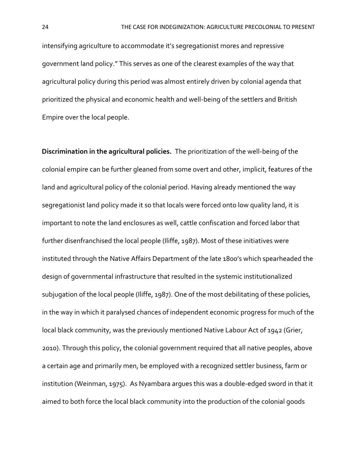intensifying agriculture to accommodate it's segregationist mores and repressive government land policy." This serves as one of the clearest examples of the way that agricultural policy during this period was almost entirely driven by colonial agenda that prioritized the physical and economic health and well-being of the settlers and British Empire over the local people.

**Discrimination in the agricultural policies.** The prioritization of the well-being of the colonial empire can be further gleaned from some overt and other, implicit, features of the land and agricultural policy of the colonial period. Having already mentioned the way segregationist land policy made it so that locals were forced onto low quality land, it is important to note the land enclosures as well, cattle confiscation and forced labor that further disenfranchised the local people (Iliffe, 1987). Most of these initiatives were instituted through the Native Affairs Department of the late 1800's which spearheaded the design of governmental infrastructure that resulted in the systemic institutionalized subjugation of the local people (Iliffe, 1987). One of the most debilitating of these policies, in the way in which it paralysed chances of independent economic progress for much of the local black community, was the previously mentioned Native Labour Act of 1942 (Grier, 2010). Through this policy, the colonial government required that all native peoples, above a certain age and primarily men, be employed with a recognized settler business, farm or institution (Weinman, 1975). As Nyambara argues this was a double-edged sword in that it aimed to both force the local black community into the production of the colonial goods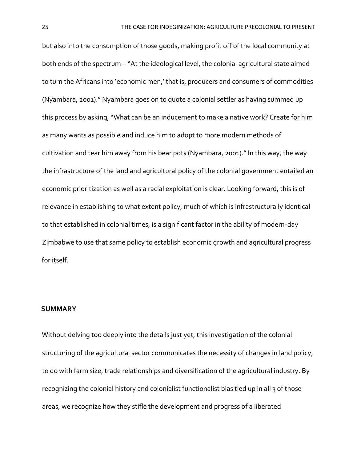but also into the consumption of those goods, making profit off of the local community at both ends of the spectrum – "At the ideological level, the colonial agricultural state aimed to turn the Africans into 'economic men,' that is, producers and consumers of commodities (Nyambara, 2001)." Nyambara goes on to quote a colonial settler as having summed up this process by asking, "What can be an inducement to make a native work? Create for him as many wants as possible and induce him to adopt to more modern methods of cultivation and tear him away from his bear pots (Nyambara, 2001)." In this way, the way the infrastructure of the land and agricultural policy of the colonial government entailed an economic prioritization as well as a racial exploitation is clear. Looking forward, this is of relevance in establishing to what extent policy, much of which is infrastructurally identical to that established in colonial times, is a significant factor in the ability of modern-day Zimbabwe to use that same policy to establish economic growth and agricultural progress for itself.

### **SUMMARY**

Without delving too deeply into the details just yet, this investigation of the colonial structuring of the agricultural sector communicates the necessity of changes in land policy, to do with farm size, trade relationships and diversification of the agricultural industry. By recognizing the colonial history and colonialist functionalist bias tied up in all 3 of those areas, we recognize how they stifle the development and progress of a liberated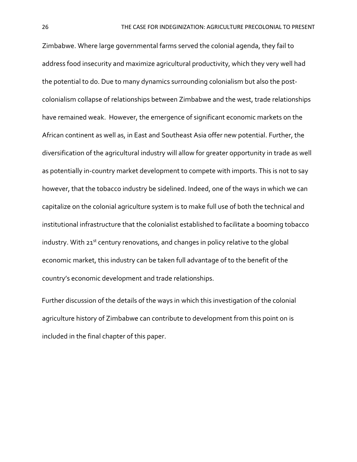Zimbabwe. Where large governmental farms served the colonial agenda, they fail to address food insecurity and maximize agricultural productivity, which they very well had the potential to do. Due to many dynamics surrounding colonialism but also the postcolonialism collapse of relationships between Zimbabwe and the west, trade relationships have remained weak. However, the emergence of significant economic markets on the African continent as well as, in East and Southeast Asia offer new potential. Further, the diversification of the agricultural industry will allow for greater opportunity in trade as well as potentially in-country market development to compete with imports. This is not to say however, that the tobacco industry be sidelined. Indeed, one of the ways in which we can capitalize on the colonial agriculture system is to make full use of both the technical and institutional infrastructure that the colonialist established to facilitate a booming tobacco industry. With  $21^{st}$  century renovations, and changes in policy relative to the global economic market, this industry can be taken full advantage of to the benefit of the country's economic development and trade relationships.

Further discussion of the details of the ways in which this investigation of the colonial agriculture history of Zimbabwe can contribute to development from this point on is included in the final chapter of this paper.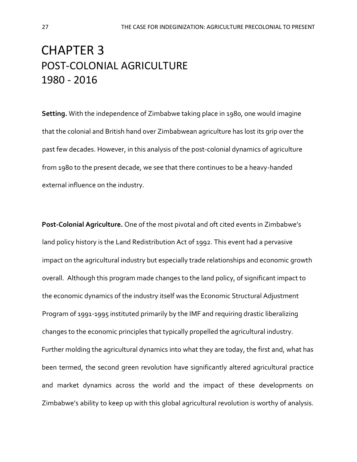## CHAPTER 3 POST-COLONIAL AGRICULTURE 1980 - 2016

**Setting.** With the independence of Zimbabwe taking place in 1980, one would imagine that the colonial and British hand over Zimbabwean agriculture has lost its grip over the past few decades. However, in this analysis of the post-colonial dynamics of agriculture from 1980 to the present decade, we see that there continues to be a heavy-handed external influence on the industry.

**Post-Colonial Agriculture.** One of the most pivotal and oft cited events in Zimbabwe's land policy history is the Land Redistribution Act of 1992. This event had a pervasive impact on the agricultural industry but especially trade relationships and economic growth overall. Although this program made changes to the land policy, of significant impact to the economic dynamics of the industry itself was the Economic Structural Adjustment Program of 1991-1995 instituted primarily by the IMF and requiring drastic liberalizing changes to the economic principles that typically propelled the agricultural industry. Further molding the agricultural dynamics into what they are today, the first and, what has been termed, the second green revolution have significantly altered agricultural practice and market dynamics across the world and the impact of these developments on Zimbabwe's ability to keep up with this global agricultural revolution is worthy of analysis.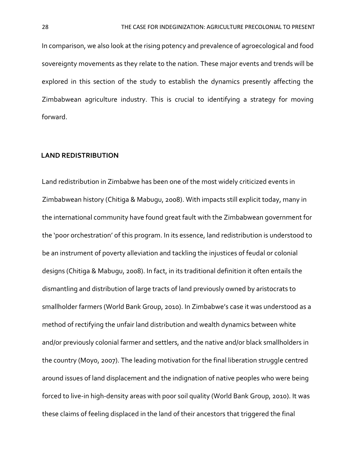In comparison, we also look at the rising potency and prevalence of agroecological and food sovereignty movements as they relate to the nation. These major events and trends will be explored in this section of the study to establish the dynamics presently affecting the Zimbabwean agriculture industry. This is crucial to identifying a strategy for moving forward.

### **LAND REDISTRIBUTION**

Land redistribution in Zimbabwe has been one of the most widely criticized events in Zimbabwean history (Chitiga & Mabugu, 2008). With impacts still explicit today, many in the international community have found great fault with the Zimbabwean government for the 'poor orchestration' of this program. In its essence, land redistribution is understood to be an instrument of poverty alleviation and tackling the injustices of feudal or colonial designs (Chitiga & Mabugu, 2008). In fact, in its traditional definition it often entails the dismantling and distribution of large tracts of land previously owned by aristocrats to smallholder farmers (World Bank Group, 2010). In Zimbabwe's case it was understood as a method of rectifying the unfair land distribution and wealth dynamics between white and/or previously colonial farmer and settlers, and the native and/or black smallholders in the country (Moyo, 2007). The leading motivation for the final liberation struggle centred around issues of land displacement and the indignation of native peoples who were being forced to live-in high-density areas with poor soil quality (World Bank Group, 2010). It was these claims of feeling displaced in the land of their ancestors that triggered the final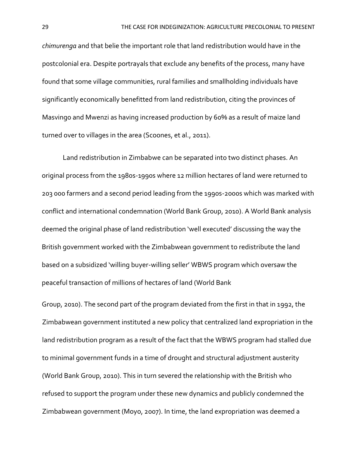*chimurenga* and that belie the important role that land redistribution would have in the postcolonial era. Despite portrayals that exclude any benefits of the process, many have found that some village communities, rural families and smallholding individuals have significantly economically benefitted from land redistribution, citing the provinces of Masvingo and Mwenzi as having increased production by 60% as a result of maize land turned over to villages in the area (Scoones, et al., 2011).

Land redistribution in Zimbabwe can be separated into two distinct phases. An original process from the 1980s-1990s where 12 million hectares of land were returned to 203 000 farmers and a second period leading from the 1990s-2000s which was marked with conflict and international condemnation (World Bank Group, 2010). A World Bank analysis deemed the original phase of land redistribution 'well executed' discussing the way the British government worked with the Zimbabwean government to redistribute the land based on a subsidized 'willing buyer-willing seller' WBWS program which oversaw the peaceful transaction of millions of hectares of land (World Bank

Group, 2010). The second part of the program deviated from the first in that in 1992, the Zimbabwean government instituted a new policy that centralized land expropriation in the land redistribution program as a result of the fact that the WBWS program had stalled due to minimal government funds in a time of drought and structural adjustment austerity (World Bank Group, 2010). This in turn severed the relationship with the British who refused to support the program under these new dynamics and publicly condemned the Zimbabwean government (Moyo, 2007). In time, the land expropriation was deemed a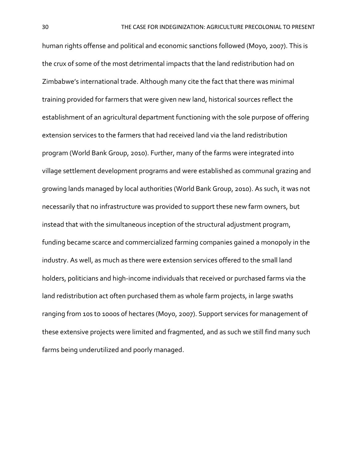human rights offense and political and economic sanctions followed (Moyo, 2007). This is the crux of some of the most detrimental impacts that the land redistribution had on Zimbabwe's international trade. Although many cite the fact that there was minimal training provided for farmers that were given new land, historical sources reflect the establishment of an agricultural department functioning with the sole purpose of offering extension services to the farmers that had received land via the land redistribution program (World Bank Group, 2010). Further, many of the farms were integrated into village settlement development programs and were established as communal grazing and growing lands managed by local authorities (World Bank Group, 2010). As such, it was not necessarily that no infrastructure was provided to support these new farm owners, but instead that with the simultaneous inception of the structural adjustment program, funding became scarce and commercialized farming companies gained a monopoly in the industry. As well, as much as there were extension services offered to the small land holders, politicians and high-income individuals that received or purchased farms via the land redistribution act often purchased them as whole farm projects, in large swaths ranging from 10s to 1000s of hectares (Moyo, 2007). Support services for management of these extensive projects were limited and fragmented, and as such we still find many such farms being underutilized and poorly managed.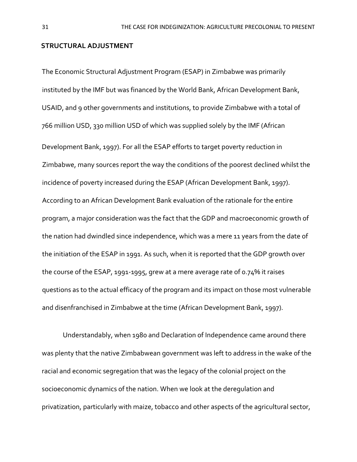### **STRUCTURAL ADJUSTMENT**

The Economic Structural Adjustment Program (ESAP) in Zimbabwe was primarily instituted by the IMF but was financed by the World Bank, African Development Bank, USAID, and 9 other governments and institutions, to provide Zimbabwe with a total of 766 million USD, 330 million USD of which was supplied solely by the IMF (African Development Bank, 1997). For all the ESAP efforts to target poverty reduction in Zimbabwe, many sources report the way the conditions of the poorest declined whilst the incidence of poverty increased during the ESAP (African Development Bank, 1997). According to an African Development Bank evaluation of the rationale for the entire program, a major consideration was the fact that the GDP and macroeconomic growth of the nation had dwindled since independence, which was a mere 11 years from the date of the initiation of the ESAP in 1991. As such, when it is reported that the GDP growth over the course of the ESAP, 1991-1995, grew at a mere average rate of 0.74% it raises questions as to the actual efficacy of the program and its impact on those most vulnerable and disenfranchised in Zimbabwe at the time (African Development Bank, 1997).

Understandably, when 1980 and Declaration of Independence came around there was plenty that the native Zimbabwean government was left to address in the wake of the racial and economic segregation that was the legacy of the colonial project on the socioeconomic dynamics of the nation. When we look at the deregulation and privatization, particularly with maize, tobacco and other aspects of the agricultural sector,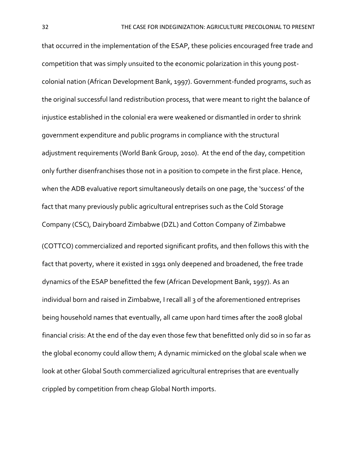that occurred in the implementation of the ESAP, these policies encouraged free trade and competition that was simply unsuited to the economic polarization in this young postcolonial nation (African Development Bank, 1997). Government-funded programs, such as the original successful land redistribution process, that were meant to right the balance of injustice established in the colonial era were weakened or dismantled in order to shrink government expenditure and public programs in compliance with the structural adjustment requirements (World Bank Group, 2010). At the end of the day, competition only further disenfranchises those not in a position to compete in the first place. Hence, when the ADB evaluative report simultaneously details on one page, the 'success' of the fact that many previously public agricultural entreprises such as the Cold Storage Company (CSC), Dairyboard Zimbabwe (DZL) and Cotton Company of Zimbabwe (COTTCO) commercialized and reported significant profits, and then follows this with the fact that poverty, where it existed in 1991 only deepened and broadened, the free trade dynamics of the ESAP benefitted the few (African Development Bank, 1997). As an individual born and raised in Zimbabwe, I recall all 3 of the aforementioned entreprises being household names that eventually, all came upon hard times after the 2008 global financial crisis: At the end of the day even those few that benefitted only did so in so far as the global economy could allow them; A dynamic mimicked on the global scale when we look at other Global South commercialized agricultural entreprises that are eventually crippled by competition from cheap Global North imports.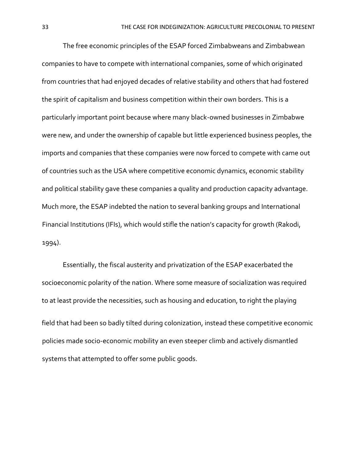The free economic principles of the ESAP forced Zimbabweans and Zimbabwean companies to have to compete with international companies, some of which originated from countries that had enjoyed decades of relative stability and others that had fostered the spirit of capitalism and business competition within their own borders. This is a particularly important point because where many black-owned businesses in Zimbabwe were new, and under the ownership of capable but little experienced business peoples, the imports and companies that these companies were now forced to compete with came out of countries such as the USA where competitive economic dynamics, economic stability and political stability gave these companies a quality and production capacity advantage. Much more, the ESAP indebted the nation to several banking groups and International Financial Institutions (IFIs), which would stifle the nation's capacity for growth (Rakodi, 1994).

Essentially, the fiscal austerity and privatization of the ESAP exacerbated the socioeconomic polarity of the nation. Where some measure of socialization was required to at least provide the necessities, such as housing and education, to right the playing field that had been so badly tilted during colonization, instead these competitive economic policies made socio-economic mobility an even steeper climb and actively dismantled systems that attempted to offer some public goods.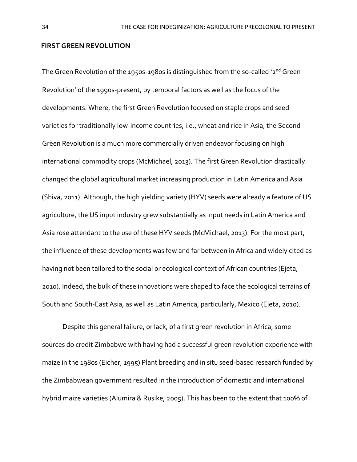#### **FIRST GREEN REVOLUTION**

The Green Revolution of the 1950s-1980s is distinguished from the so-called '2<sup>nd</sup> Green Revolution' of the 1990s-present, by temporal factors as well as the focus of the developments. Where, the first Green Revolution focused on staple crops and seed varieties for traditionally low-income countries, i.e., wheat and rice in Asia, the Second Green Revolution is a much more commercially driven endeavor focusing on high international commodity crops (McMichael, 2013). The first Green Revolution drastically changed the global agricultural market increasing production in Latin America and Asia (Shiva, 2011). Although, the high yielding variety (HYV) seeds were already a feature of US agriculture, the US input industry grew substantially as input needs in Latin America and Asia rose attendant to the use of these HYV seeds (McMichael, 2013). For the most part, the influence of these developments was few and far between in Africa and widely cited as having not been tailored to the social or ecological context of African countries (Ejeta, 2010). Indeed, the bulk of these innovations were shaped to face the ecological terrains of South and South-East Asia, as well as Latin America, particularly, Mexico (Ejeta, 2010).

 Despite this general failure, or lack, of a first green revolution in Africa, some sources do credit Zimbabwe with having had a successful green revolution experience with maize in the 1980s (Eicher, 1995) Plant breeding and in situ seed-based research funded by the Zimbabwean government resulted in the introduction of domestic and international hybrid maize varieties (Alumira & Rusike, 2005). This has been to the extent that 100% of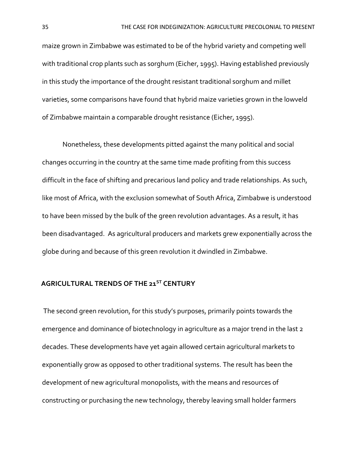maize grown in Zimbabwe was estimated to be of the hybrid variety and competing well with traditional crop plants such as sorghum (Eicher, 1995). Having established previously in this study the importance of the drought resistant traditional sorghum and millet varieties, some comparisons have found that hybrid maize varieties grown in the lowveld of Zimbabwe maintain a comparable drought resistance (Eicher, 1995).

 Nonetheless, these developments pitted against the many political and social changes occurring in the country at the same time made profiting from this success difficult in the face of shifting and precarious land policy and trade relationships. As such, like most of Africa, with the exclusion somewhat of South Africa, Zimbabwe is understood to have been missed by the bulk of the green revolution advantages. As a result, it has been disadvantaged. As agricultural producers and markets grew exponentially across the globe during and because of this green revolution it dwindled in Zimbabwe.

# **AGRICULTURAL TRENDS OF THE 21ST CENTURY**

The second green revolution, for this study's purposes, primarily points towards the emergence and dominance of biotechnology in agriculture as a major trend in the last 2 decades. These developments have yet again allowed certain agricultural markets to exponentially grow as opposed to other traditional systems. The result has been the development of new agricultural monopolists, with the means and resources of constructing or purchasing the new technology, thereby leaving small holder farmers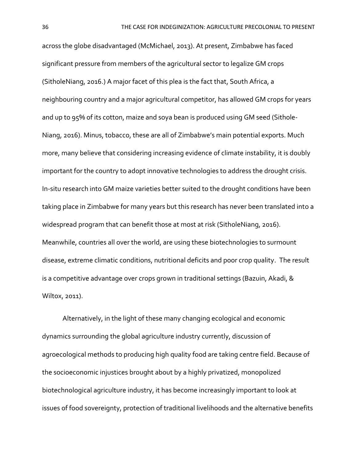across the globe disadvantaged (McMichael, 2013). At present, Zimbabwe has faced significant pressure from members of the agricultural sector to legalize GM crops (SitholeNiang, 2016.) A major facet of this plea is the fact that, South Africa, a neighbouring country and a major agricultural competitor, has allowed GM crops for years and up to 95% of its cotton, maize and soya bean is produced using GM seed (Sithole-Niang, 2016). Minus, tobacco, these are all of Zimbabwe's main potential exports. Much more, many believe that considering increasing evidence of climate instability, it is doubly important for the country to adopt innovative technologies to address the drought crisis. In-situ research into GM maize varieties better suited to the drought conditions have been taking place in Zimbabwe for many years but this research has never been translated into a widespread program that can benefit those at most at risk (SitholeNiang, 2016). Meanwhile, countries all over the world, are using these biotechnologies to surmount disease, extreme climatic conditions, nutritional deficits and poor crop quality. The result is a competitive advantage over crops grown in traditional settings (Bazuin, Akadi, & Wiltox, 2011).

 Alternatively, in the light of these many changing ecological and economic dynamics surrounding the global agriculture industry currently, discussion of agroecological methods to producing high quality food are taking centre field. Because of the socioeconomic injustices brought about by a highly privatized, monopolized biotechnological agriculture industry, it has become increasingly important to look at issues of food sovereignty, protection of traditional livelihoods and the alternative benefits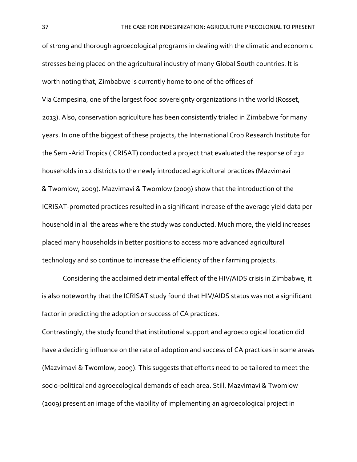of strong and thorough agroecological programs in dealing with the climatic and economic stresses being placed on the agricultural industry of many Global South countries. It is worth noting that, Zimbabwe is currently home to one of the offices of Via Campesina, one of the largest food sovereignty organizations in the world (Rosset, 2013). Also, conservation agriculture has been consistently trialed in Zimbabwe for many years. In one of the biggest of these projects, the International Crop Research Institute for the Semi-Arid Tropics (ICRISAT) conducted a project that evaluated the response of 232 households in 12 districts to the newly introduced agricultural practices (Mazvimavi & Twomlow, 2009). Mazvimavi & Twomlow (2009) show that the introduction of the ICRISAT-promoted practices resulted in a significant increase of the average yield data per household in all the areas where the study was conducted. Much more, the yield increases placed many households in better positions to access more advanced agricultural technology and so continue to increase the efficiency of their farming projects.

Considering the acclaimed detrimental effect of the HIV/AIDS crisis in Zimbabwe, it is also noteworthy that the ICRISAT study found that HIV/AIDS status was not a significant factor in predicting the adoption or success of CA practices.

Contrastingly, the study found that institutional support and agroecological location did have a deciding influence on the rate of adoption and success of CA practices in some areas (Mazvimavi & Twomlow, 2009). This suggests that efforts need to be tailored to meet the socio-political and agroecological demands of each area. Still, Mazvimavi & Twomlow (2009) present an image of the viability of implementing an agroecological project in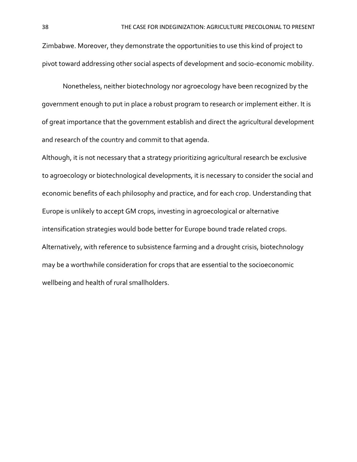Zimbabwe. Moreover, they demonstrate the opportunities to use this kind of project to pivot toward addressing other social aspects of development and socio-economic mobility.

Nonetheless, neither biotechnology nor agroecology have been recognized by the government enough to put in place a robust program to research or implement either. It is of great importance that the government establish and direct the agricultural development and research of the country and commit to that agenda.

Although, it is not necessary that a strategy prioritizing agricultural research be exclusive to agroecology or biotechnological developments, it is necessary to consider the social and economic benefits of each philosophy and practice, and for each crop. Understanding that Europe is unlikely to accept GM crops, investing in agroecological or alternative intensification strategies would bode better for Europe bound trade related crops. Alternatively, with reference to subsistence farming and a drought crisis, biotechnology may be a worthwhile consideration for crops that are essential to the socioeconomic wellbeing and health of rural smallholders.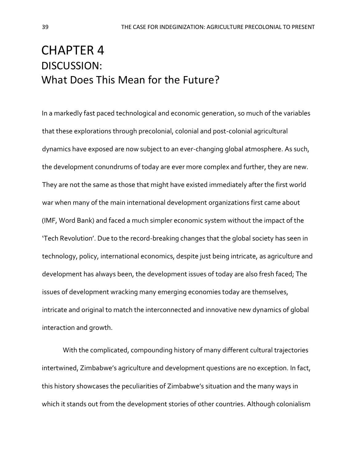# CHAPTER 4 DISCUSSION: What Does This Mean for the Future?

In a markedly fast paced technological and economic generation, so much of the variables that these explorations through precolonial, colonial and post-colonial agricultural dynamics have exposed are now subject to an ever-changing global atmosphere. As such, the development conundrums of today are ever more complex and further, they are new. They are not the same as those that might have existed immediately after the first world war when many of the main international development organizations first came about (IMF, Word Bank) and faced a much simpler economic system without the impact of the 'Tech Revolution'. Due to the record-breaking changes that the global society has seen in technology, policy, international economics, despite just being intricate, as agriculture and development has always been, the development issues of today are also fresh faced; The issues of development wracking many emerging economies today are themselves, intricate and original to match the interconnected and innovative new dynamics of global interaction and growth.

With the complicated, compounding history of many different cultural trajectories intertwined, Zimbabwe's agriculture and development questions are no exception. In fact, this history showcases the peculiarities of Zimbabwe's situation and the many ways in which it stands out from the development stories of other countries. Although colonialism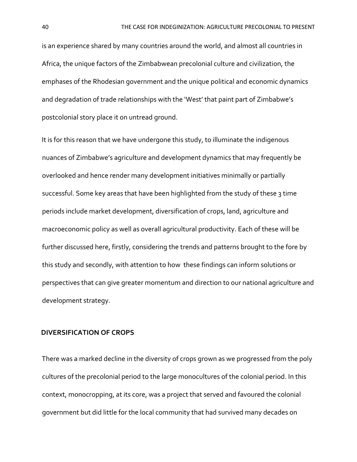is an experience shared by many countries around the world, and almost all countries in Africa, the unique factors of the Zimbabwean precolonial culture and civilization, the emphases of the Rhodesian government and the unique political and economic dynamics and degradation of trade relationships with the 'West' that paint part of Zimbabwe's postcolonial story place it on untread ground.

It is for this reason that we have undergone this study, to illuminate the indigenous nuances of Zimbabwe's agriculture and development dynamics that may frequently be overlooked and hence render many development initiatives minimally or partially successful. Some key areas that have been highlighted from the study of these 3 time periods include market development, diversification of crops, land, agriculture and macroeconomic policy as well as overall agricultural productivity. Each of these will be further discussed here, firstly, considering the trends and patterns brought to the fore by this study and secondly, with attention to how these findings can inform solutions or perspectives that can give greater momentum and direction to our national agriculture and development strategy.

#### **DIVERSIFICATION OF CROPS**

There was a marked decline in the diversity of crops grown as we progressed from the poly cultures of the precolonial period to the large monocultures of the colonial period. In this context, monocropping, at its core, was a project that served and favoured the colonial government but did little for the local community that had survived many decades on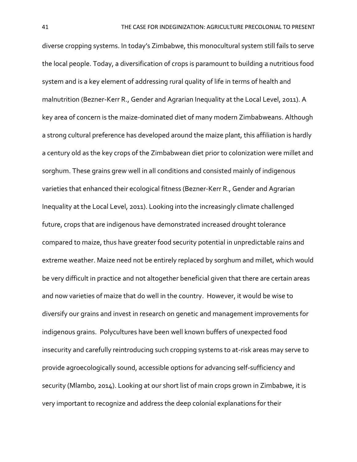diverse cropping systems. In today's Zimbabwe, this monocultural system still fails to serve the local people. Today, a diversification of crops is paramount to building a nutritious food system and is a key element of addressing rural quality of life in terms of health and malnutrition (Bezner-Kerr R., Gender and Agrarian Inequality at the Local Level, 2011). A key area of concern is the maize-dominated diet of many modern Zimbabweans. Although a strong cultural preference has developed around the maize plant, this affiliation is hardly a century old as the key crops of the Zimbabwean diet prior to colonization were millet and sorghum. These grains grew well in all conditions and consisted mainly of indigenous varieties that enhanced their ecological fitness (Bezner-Kerr R., Gender and Agrarian Inequality at the Local Level, 2011). Looking into the increasingly climate challenged future, crops that are indigenous have demonstrated increased drought tolerance compared to maize, thus have greater food security potential in unpredictable rains and extreme weather. Maize need not be entirely replaced by sorghum and millet, which would be very difficult in practice and not altogether beneficial given that there are certain areas and now varieties of maize that do well in the country. However, it would be wise to diversify our grains and invest in research on genetic and management improvements for indigenous grains. Polycultures have been well known buffers of unexpected food insecurity and carefully reintroducing such cropping systems to at-risk areas may serve to provide agroecologically sound, accessible options for advancing self-sufficiency and security (Mlambo, 2014). Looking at our short list of main crops grown in Zimbabwe, it is very important to recognize and address the deep colonial explanations for their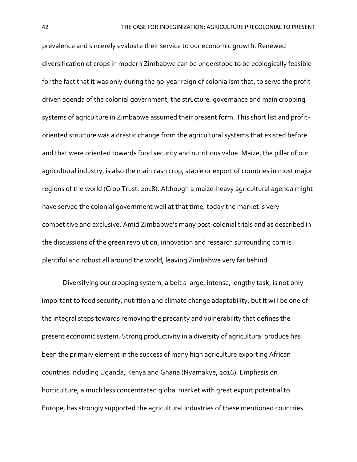prevalence and sincerely evaluate their service to our economic growth. Renewed diversification of crops in modern Zimbabwe can be understood to be ecologically feasible for the fact that it was only during the 90-year reign of colonialism that, to serve the profit driven agenda of the colonial government, the structure, governance and main cropping systems of agriculture in Zimbabwe assumed their present form. This short list and profitoriented structure was a drastic change from the agricultural systems that existed before and that were oriented towards food security and nutritious value. Maize, the pillar of our agricultural industry, is also the main cash crop, staple or export of countries in most major regions of the world (Crop Trust, 2018). Although a maize-heavy agricultural agenda might have served the colonial government well at that time, today the market is very competitive and exclusive. Amid Zimbabwe's many post-colonial trials and as described in the discussions of the green revolution, innovation and research surrounding corn is plentiful and robust all around the world, leaving Zimbabwe very far behind.

Diversifying our cropping system, albeit a large, intense, lengthy task, is not only important to food security, nutrition and climate change adaptability, but it will be one of the integral steps towards removing the precarity and vulnerability that defines the present economic system. Strong productivity in a diversity of agricultural produce has been the primary element in the success of many high agriculture exporting African countries including Uganda, Kenya and Ghana (Nyamakye, 2016). Emphasis on horticulture, a much less concentrated global market with great export potential to Europe, has strongly supported the agricultural industries of these mentioned countries.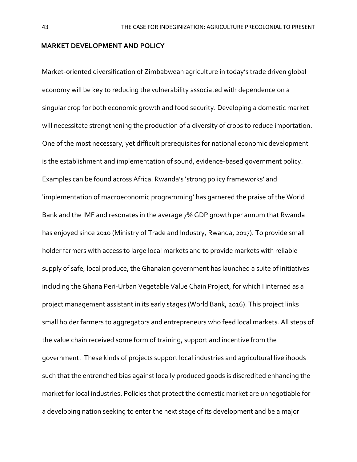## **MARKET DEVELOPMENT AND POLICY**

Market-oriented diversification of Zimbabwean agriculture in today's trade driven global economy will be key to reducing the vulnerability associated with dependence on a singular crop for both economic growth and food security. Developing a domestic market will necessitate strengthening the production of a diversity of crops to reduce importation. One of the most necessary, yet difficult prerequisites for national economic development is the establishment and implementation of sound, evidence-based government policy. Examples can be found across Africa. Rwanda's 'strong policy frameworks' and 'implementation of macroeconomic programming' has garnered the praise of the World Bank and the IMF and resonates in the average 7% GDP growth per annum that Rwanda has enjoyed since 2010 (Ministry of Trade and Industry, Rwanda, 2017). To provide small holder farmers with access to large local markets and to provide markets with reliable supply of safe, local produce, the Ghanaian government has launched a suite of initiatives including the Ghana Peri-Urban Vegetable Value Chain Project, for which I interned as a project management assistant in its early stages (World Bank, 2016). This project links small holder farmers to aggregators and entrepreneurs who feed local markets. All steps of the value chain received some form of training, support and incentive from the government. These kinds of projects support local industries and agricultural livelihoods such that the entrenched bias against locally produced goods is discredited enhancing the market for local industries. Policies that protect the domestic market are unnegotiable for a developing nation seeking to enter the next stage of its development and be a major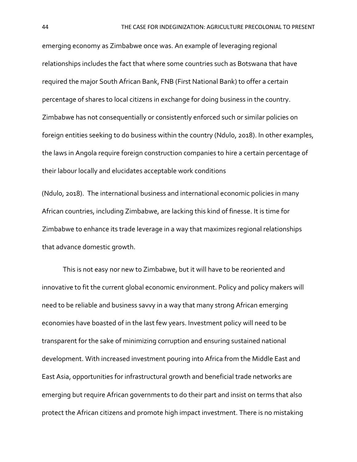emerging economy as Zimbabwe once was. An example of leveraging regional relationships includes the fact that where some countries such as Botswana that have required the major South African Bank, FNB (First National Bank) to offer a certain percentage of shares to local citizens in exchange for doing business in the country. Zimbabwe has not consequentially or consistently enforced such or similar policies on foreign entities seeking to do business within the country (Ndulo, 2018). In other examples, the laws in Angola require foreign construction companies to hire a certain percentage of their labour locally and elucidates acceptable work conditions

(Ndulo, 2018). The international business and international economic policies in many African countries, including Zimbabwe, are lacking this kind of finesse. It is time for Zimbabwe to enhance its trade leverage in a way that maximizes regional relationships that advance domestic growth.

This is not easy nor new to Zimbabwe, but it will have to be reoriented and innovative to fit the current global economic environment. Policy and policy makers will need to be reliable and business savvy in a way that many strong African emerging economies have boasted of in the last few years. Investment policy will need to be transparent for the sake of minimizing corruption and ensuring sustained national development. With increased investment pouring into Africa from the Middle East and East Asia, opportunities for infrastructural growth and beneficial trade networks are emerging but require African governments to do their part and insist on terms that also protect the African citizens and promote high impact investment. There is no mistaking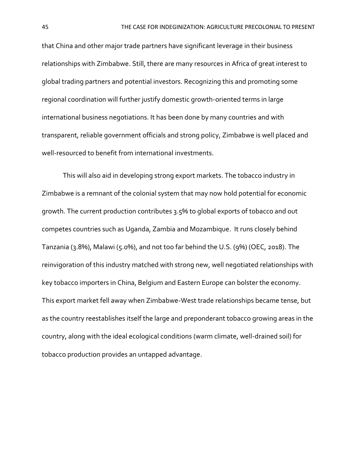that China and other major trade partners have significant leverage in their business relationships with Zimbabwe. Still, there are many resources in Africa of great interest to global trading partners and potential investors. Recognizing this and promoting some regional coordination will further justify domestic growth-oriented terms in large international business negotiations. It has been done by many countries and with transparent, reliable government officials and strong policy, Zimbabwe is well placed and well-resourced to benefit from international investments.

This will also aid in developing strong export markets. The tobacco industry in Zimbabwe is a remnant of the colonial system that may now hold potential for economic growth. The current production contributes 3.5% to global exports of tobacco and out competes countries such as Uganda, Zambia and Mozambique. It runs closely behind Tanzania (3.8%), Malawi (5.0%), and not too far behind the U.S. (9%) (OEC, 2018). The reinvigoration of this industry matched with strong new, well negotiated relationships with key tobacco importers in China, Belgium and Eastern Europe can bolster the economy. This export market fell away when Zimbabwe-West trade relationships became tense, but as the country reestablishes itself the large and preponderant tobacco growing areas in the country, along with the ideal ecological conditions (warm climate, well-drained soil) for tobacco production provides an untapped advantage.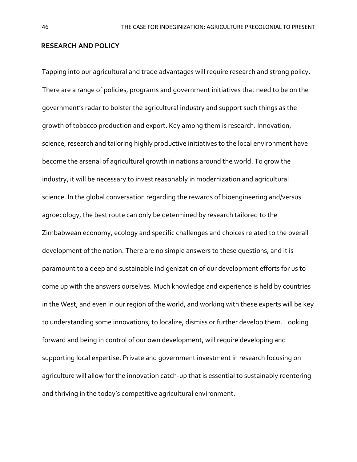#### **RESEARCH AND POLICY**

Tapping into our agricultural and trade advantages will require research and strong policy. There are a range of policies, programs and government initiatives that need to be on the government's radar to bolster the agricultural industry and support such things as the growth of tobacco production and export. Key among them is research. Innovation, science, research and tailoring highly productive initiatives to the local environment have become the arsenal of agricultural growth in nations around the world. To grow the industry, it will be necessary to invest reasonably in modernization and agricultural science. In the global conversation regarding the rewards of bioengineering and/versus agroecology, the best route can only be determined by research tailored to the Zimbabwean economy, ecology and specific challenges and choices related to the overall development of the nation. There are no simple answers to these questions, and it is paramount to a deep and sustainable indigenization of our development efforts for us to come up with the answers ourselves. Much knowledge and experience is held by countries in the West, and even in our region of the world, and working with these experts will be key to understanding some innovations, to localize, dismiss or further develop them. Looking forward and being in control of our own development, will require developing and supporting local expertise. Private and government investment in research focusing on agriculture will allow for the innovation catch-up that is essential to sustainably reentering and thriving in the today's competitive agricultural environment.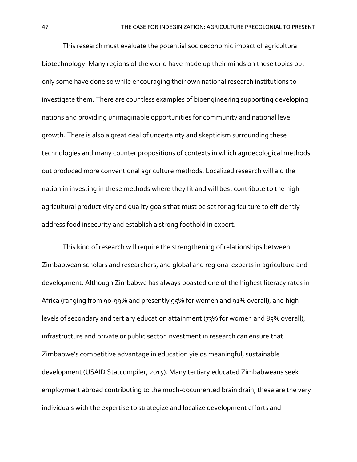This research must evaluate the potential socioeconomic impact of agricultural biotechnology. Many regions of the world have made up their minds on these topics but only some have done so while encouraging their own national research institutions to investigate them. There are countless examples of bioengineering supporting developing nations and providing unimaginable opportunities for community and national level growth. There is also a great deal of uncertainty and skepticism surrounding these technologies and many counter propositions of contexts in which agroecological methods out produced more conventional agriculture methods. Localized research will aid the nation in investing in these methods where they fit and will best contribute to the high agricultural productivity and quality goals that must be set for agriculture to efficiently address food insecurity and establish a strong foothold in export.

This kind of research will require the strengthening of relationships between Zimbabwean scholars and researchers, and global and regional experts in agriculture and development. Although Zimbabwe has always boasted one of the highest literacy rates in Africa (ranging from 90-99% and presently 95% for women and 91% overall), and high levels of secondary and tertiary education attainment (73% for women and 85% overall), infrastructure and private or public sector investment in research can ensure that Zimbabwe's competitive advantage in education yields meaningful, sustainable development (USAID Statcompiler, 2015). Many tertiary educated Zimbabweans seek employment abroad contributing to the much-documented brain drain; these are the very individuals with the expertise to strategize and localize development efforts and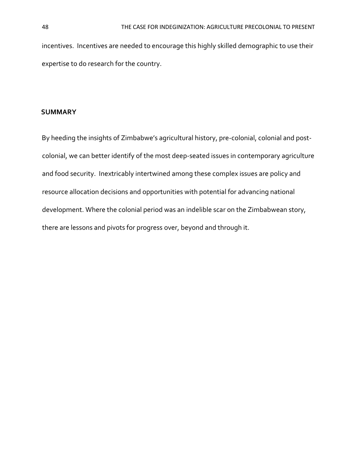incentives. Incentives are needed to encourage this highly skilled demographic to use their expertise to do research for the country.

#### **SUMMARY**

By heeding the insights of Zimbabwe's agricultural history, pre-colonial, colonial and postcolonial, we can better identify of the most deep-seated issues in contemporary agriculture and food security. Inextricably intertwined among these complex issues are policy and resource allocation decisions and opportunities with potential for advancing national development. Where the colonial period was an indelible scar on the Zimbabwean story, there are lessons and pivots for progress over, beyond and through it.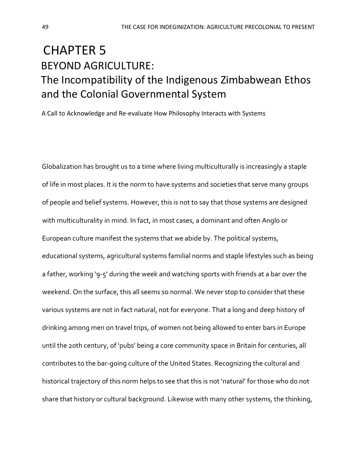# CHAPTER 5 BEYOND AGRICULTURE: The Incompatibility of the Indigenous Zimbabwean Ethos and the Colonial Governmental System

A Call to Acknowledge and Re-evaluate How Philosophy Interacts with Systems

Globalization has brought us to a time where living multiculturally is increasingly a staple of life in most places. It is the norm to have systems and societies that serve many groups of people and belief systems. However, this is not to say that those systems are designed with multiculturality in mind. In fact, in most cases, a dominant and often Anglo or European culture manifest the systems that we abide by. The political systems, educational systems, agricultural systems familial norms and staple lifestyles such as being a father, working '9-5' during the week and watching sports with friends at a bar over the weekend. On the surface, this all seems so normal. We never stop to consider that these various systems are not in fact natural, not for everyone. That a long and deep history of drinking among men on travel trips, of women not being allowed to enter bars in Europe until the 20th century, of 'pubs' being a core community space in Britain for centuries, all contributes to the bar-going culture of the United States. Recognizing the cultural and historical trajectory of this norm helps to see that this is not 'natural' for those who do not share that history or cultural background. Likewise with many other systems, the thinking,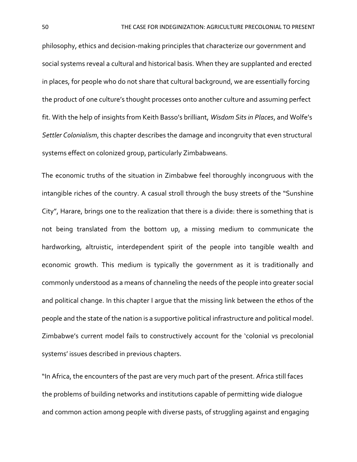philosophy, ethics and decision-making principles that characterize our government and social systems reveal a cultural and historical basis. When they are supplanted and erected in places, for people who do not share that cultural background, we are essentially forcing the product of one culture's thought processes onto another culture and assuming perfect fit. With the help of insights from Keith Basso's brilliant, *Wisdom Sits in Places*, and Wolfe's *Settler Colonialism*, this chapter describes the damage and incongruity that even structural systems effect on colonized group, particularly Zimbabweans.

The economic truths of the situation in Zimbabwe feel thoroughly incongruous with the intangible riches of the country. A casual stroll through the busy streets of the "Sunshine City", Harare, brings one to the realization that there is a divide: there is something that is not being translated from the bottom up, a missing medium to communicate the hardworking, altruistic, interdependent spirit of the people into tangible wealth and economic growth. This medium is typically the government as it is traditionally and commonly understood as a means of channeling the needs of the people into greater social and political change. In this chapter I argue that the missing link between the ethos of the people and the state of the nation is a supportive political infrastructure and political model. Zimbabwe's current model fails to constructively account for the 'colonial vs precolonial systems' issues described in previous chapters.

"In Africa, the encounters of the past are very much part of the present. Africa still faces the problems of building networks and institutions capable of permitting wide dialogue and common action among people with diverse pasts, of struggling against and engaging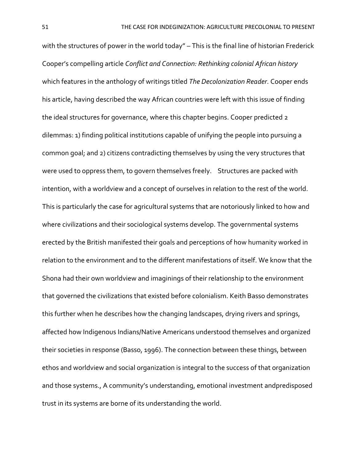with the structures of power in the world today" – This is the final line of historian Frederick Cooper's compelling article *Conflict and Connection: Rethinking colonial African history* which features in the anthology of writings titled *The Decolonization Reader*. Cooper ends his article, having described the way African countries were left with this issue of finding the ideal structures for governance, where this chapter begins. Cooper predicted 2 dilemmas: 1) finding political institutions capable of unifying the people into pursuing a common goal; and 2) citizens contradicting themselves by using the very structures that were used to oppress them, to govern themselves freely. Structures are packed with intention, with a worldview and a concept of ourselves in relation to the rest of the world. This is particularly the case for agricultural systems that are notoriously linked to how and where civilizations and their sociological systems develop. The governmental systems erected by the British manifested their goals and perceptions of how humanity worked in relation to the environment and to the different manifestations of itself. We know that the Shona had their own worldview and imaginings of their relationship to the environment that governed the civilizations that existed before colonialism. Keith Basso demonstrates this further when he describes how the changing landscapes, drying rivers and springs, affected how Indigenous Indians/Native Americans understood themselves and organized their societies in response (Basso, 1996). The connection between these things, between ethos and worldview and social organization is integral to the success of that organization and those systems., A community's understanding, emotional investment andpredisposed trust in its systems are borne of its understanding the world.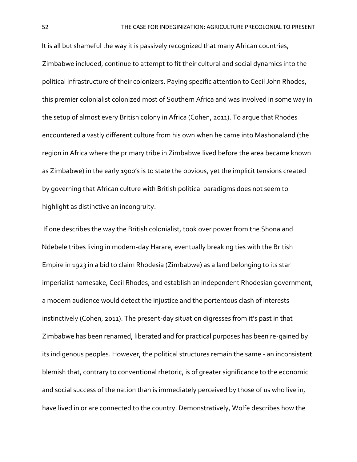It is all but shameful the way it is passively recognized that many African countries, Zimbabwe included, continue to attempt to fit their cultural and social dynamics into the political infrastructure of their colonizers. Paying specific attention to Cecil John Rhodes, this premier colonialist colonized most of Southern Africa and was involved in some way in the setup of almost every British colony in Africa (Cohen, 2011). To argue that Rhodes encountered a vastly different culture from his own when he came into Mashonaland (the region in Africa where the primary tribe in Zimbabwe lived before the area became known as Zimbabwe) in the early 1900's is to state the obvious, yet the implicit tensions created by governing that African culture with British political paradigms does not seem to highlight as distinctive an incongruity.

If one describes the way the British colonialist, took over power from the Shona and Ndebele tribes living in modern-day Harare, eventually breaking ties with the British Empire in 1923 in a bid to claim Rhodesia (Zimbabwe) as a land belonging to its star imperialist namesake, Cecil Rhodes, and establish an independent Rhodesian government, a modern audience would detect the injustice and the portentous clash of interests instinctively (Cohen, 2011). The present-day situation digresses from it's past in that Zimbabwe has been renamed, liberated and for practical purposes has been re-gained by its indigenous peoples. However, the political structures remain the same - an inconsistent blemish that, contrary to conventional rhetoric, is of greater significance to the economic and social success of the nation than is immediately perceived by those of us who live in, have lived in or are connected to the country. Demonstratively, Wolfe describes how the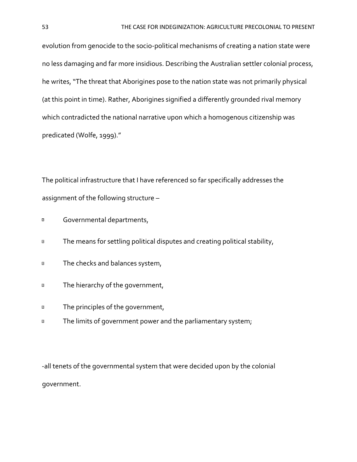evolution from genocide to the socio-political mechanisms of creating a nation state were no less damaging and far more insidious. Describing the Australian settler colonial process, he writes, "The threat that Aborigines pose to the nation state was not primarily physical (at this point in time). Rather, Aborigines signified a differently grounded rival memory which contradicted the national narrative upon which a homogenous citizenship was predicated (Wolfe, 1999)."

The political infrastructure that I have referenced so far specifically addresses the assignment of the following structure –

- Governmental departments,  $\overline{2}$
- The means for settling political disputes and creating political stability,  $\overline{\mathbf{2}}$
- The checks and balances system,  $\hbox{\bf Z}$
- The hierarchy of the government,  $\overline{\mathbf{2}}$
- The principles of the government,  $\overline{\mathbf{2}}$
- $\overline{2}$ The limits of government power and the parliamentary system;

-all tenets of the governmental system that were decided upon by the colonial government.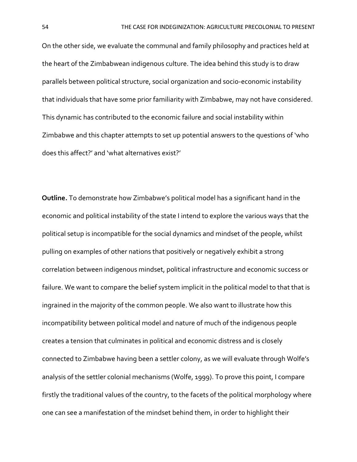On the other side, we evaluate the communal and family philosophy and practices held at the heart of the Zimbabwean indigenous culture. The idea behind this study is to draw parallels between political structure, social organization and socio-economic instability that individuals that have some prior familiarity with Zimbabwe, may not have considered. This dynamic has contributed to the economic failure and social instability within Zimbabwe and this chapter attempts to set up potential answers to the questions of 'who does this affect?' and 'what alternatives exist?'

**Outline.** To demonstrate how Zimbabwe's political model has a significant hand in the economic and political instability of the state I intend to explore the various ways that the political setup is incompatible for the social dynamics and mindset of the people, whilst pulling on examples of other nations that positively or negatively exhibit a strong correlation between indigenous mindset, political infrastructure and economic success or failure. We want to compare the belief system implicit in the political model to that that is ingrained in the majority of the common people. We also want to illustrate how this incompatibility between political model and nature of much of the indigenous people creates a tension that culminates in political and economic distress and is closely connected to Zimbabwe having been a settler colony, as we will evaluate through Wolfe's analysis of the settler colonial mechanisms (Wolfe, 1999). To prove this point, I compare firstly the traditional values of the country, to the facets of the political morphology where one can see a manifestation of the mindset behind them, in order to highlight their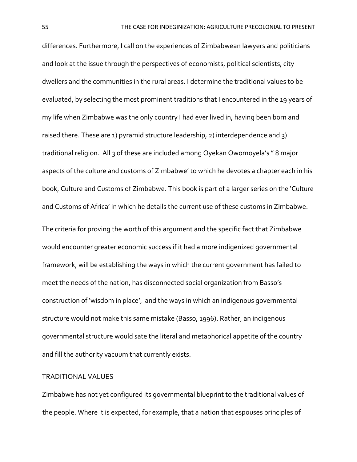differences. Furthermore, I call on the experiences of Zimbabwean lawyers and politicians and look at the issue through the perspectives of economists, political scientists, city dwellers and the communities in the rural areas. I determine the traditional values to be evaluated, by selecting the most prominent traditions that I encountered in the 19 years of my life when Zimbabwe was the only country I had ever lived in, having been born and raised there. These are 1) pyramid structure leadership, 2) interdependence and 3) traditional religion. All 3 of these are included among Oyekan Owomoyela's " 8 major aspects of the culture and customs of Zimbabwe' to which he devotes a chapter each in his book, Culture and Customs of Zimbabwe. This book is part of a larger series on the 'Culture and Customs of Africa' in which he details the current use of these customs in Zimbabwe.

The criteria for proving the worth of this argument and the specific fact that Zimbabwe would encounter greater economic success if it had a more indigenized governmental framework, will be establishing the ways in which the current government has failed to meet the needs of the nation, has disconnected social organization from Basso's construction of 'wisdom in place', and the ways in which an indigenous governmental structure would not make this same mistake (Basso, 1996). Rather, an indigenous governmental structure would sate the literal and metaphorical appetite of the country and fill the authority vacuum that currently exists.

### TRADITIONAL VALUES

Zimbabwe has not yet configured its governmental blueprint to the traditional values of the people. Where it is expected, for example, that a nation that espouses principles of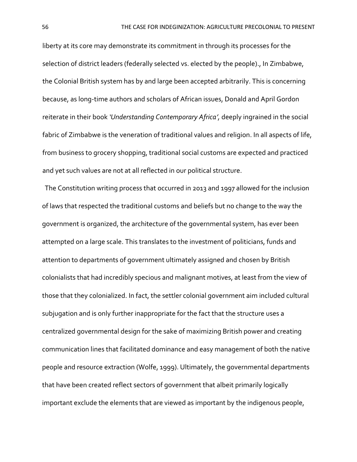liberty at its core may demonstrate its commitment in through its processes for the selection of district leaders (federally selected vs. elected by the people)., In Zimbabwe, the Colonial British system has by and large been accepted arbitrarily. This is concerning because, as long-time authors and scholars of African issues, Donald and April Gordon reiterate in their book *'Understanding Contemporary Africa',* deeply ingrained in the social fabric of Zimbabwe is the veneration of traditional values and religion. In all aspects of life, from business to grocery shopping, traditional social customs are expected and practiced and yet such values are not at all reflected in our political structure.

 The Constitution writing process that occurred in 2013 and 1997 allowed for the inclusion of laws that respected the traditional customs and beliefs but no change to the way the government is organized, the architecture of the governmental system, has ever been attempted on a large scale. This translates to the investment of politicians, funds and attention to departments of government ultimately assigned and chosen by British colonialists that had incredibly specious and malignant motives, at least from the view of those that they colonialized. In fact, the settler colonial government aim included cultural subjugation and is only further inappropriate for the fact that the structure uses a centralized governmental design for the sake of maximizing British power and creating communication lines that facilitated dominance and easy management of both the native people and resource extraction (Wolfe, 1999). Ultimately, the governmental departments that have been created reflect sectors of government that albeit primarily logically important exclude the elements that are viewed as important by the indigenous people,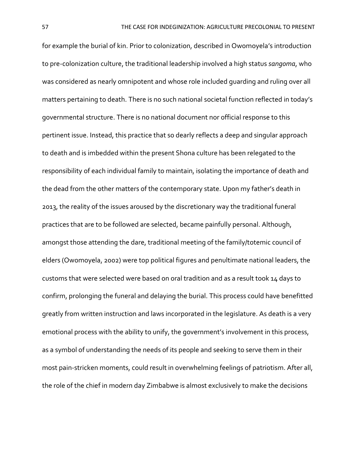for example the burial of kin. Prior to colonization, described in Owomoyela's introduction to pre-colonization culture, the traditional leadership involved a high status *sangoma*, who was considered as nearly omnipotent and whose role included guarding and ruling over all matters pertaining to death. There is no such national societal function reflected in today's governmental structure. There is no national document nor official response to this pertinent issue. Instead, this practice that so dearly reflects a deep and singular approach to death and is imbedded within the present Shona culture has been relegated to the responsibility of each individual family to maintain, isolating the importance of death and the dead from the other matters of the contemporary state. Upon my father's death in 2013, the reality of the issues aroused by the discretionary way the traditional funeral practices that are to be followed are selected, became painfully personal. Although, amongst those attending the dare, traditional meeting of the family/totemic council of elders (Owomoyela, 2002) were top political figures and penultimate national leaders, the customs that were selected were based on oral tradition and as a result took 14 days to confirm, prolonging the funeral and delaying the burial. This process could have benefitted greatly from written instruction and laws incorporated in the legislature. As death is a very emotional process with the ability to unify, the government's involvement in this process, as a symbol of understanding the needs of its people and seeking to serve them in their most pain-stricken moments, could result in overwhelming feelings of patriotism. After all, the role of the chief in modern day Zimbabwe is almost exclusively to make the decisions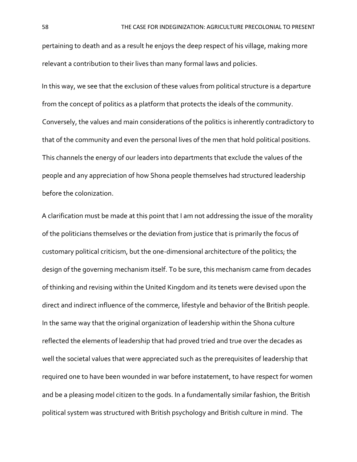pertaining to death and as a result he enjoys the deep respect of his village, making more relevant a contribution to their lives than many formal laws and policies.

In this way, we see that the exclusion of these values from political structure is a departure from the concept of politics as a platform that protects the ideals of the community. Conversely, the values and main considerations of the politics is inherently contradictory to that of the community and even the personal lives of the men that hold political positions. This channels the energy of our leaders into departments that exclude the values of the people and any appreciation of how Shona people themselves had structured leadership before the colonization.

A clarification must be made at this point that I am not addressing the issue of the morality of the politicians themselves or the deviation from justice that is primarily the focus of customary political criticism, but the one-dimensional architecture of the politics; the design of the governing mechanism itself. To be sure, this mechanism came from decades of thinking and revising within the United Kingdom and its tenets were devised upon the direct and indirect influence of the commerce, lifestyle and behavior of the British people. In the same way that the original organization of leadership within the Shona culture reflected the elements of leadership that had proved tried and true over the decades as well the societal values that were appreciated such as the prerequisites of leadership that required one to have been wounded in war before instatement, to have respect for women and be a pleasing model citizen to the gods. In a fundamentally similar fashion, the British political system was structured with British psychology and British culture in mind. The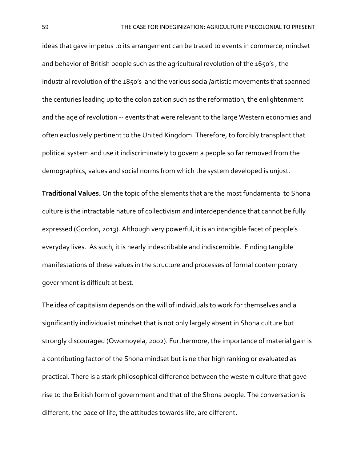ideas that gave impetus to its arrangement can be traced to events in commerce, mindset and behavior of British people such as the agricultural revolution of the 1650's , the industrial revolution of the 1850's and the various social/artistic movements that spanned the centuries leading up to the colonization such as the reformation, the enlightenment and the age of revolution -- events that were relevant to the large Western economies and often exclusively pertinent to the United Kingdom. Therefore, to forcibly transplant that political system and use it indiscriminately to govern a people so far removed from the demographics, values and social norms from which the system developed is unjust.

**Traditional Values.** On the topic of the elements that are the most fundamental to Shona culture is the intractable nature of collectivism and interdependence that cannot be fully expressed (Gordon, 2013). Although very powerful, it is an intangible facet of people's everyday lives. As such, it is nearly indescribable and indiscernible. Finding tangible manifestations of these values in the structure and processes of formal contemporary government is difficult at best.

The idea of capitalism depends on the will of individuals to work for themselves and a significantly individualist mindset that is not only largely absent in Shona culture but strongly discouraged (Owomoyela, 2002). Furthermore, the importance of material gain is a contributing factor of the Shona mindset but is neither high ranking or evaluated as practical. There is a stark philosophical difference between the western culture that gave rise to the British form of government and that of the Shona people. The conversation is different, the pace of life, the attitudes towards life, are different.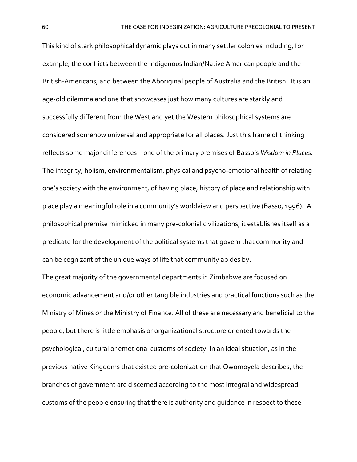This kind of stark philosophical dynamic plays out in many settler colonies including, for example, the conflicts between the Indigenous Indian/Native American people and the British-Americans, and between the Aboriginal people of Australia and the British. It is an age-old dilemma and one that showcases just how many cultures are starkly and successfully different from the West and yet the Western philosophical systems are considered somehow universal and appropriate for all places. Just this frame of thinking reflects some major differences – one of the primary premises of Basso's *Wisdom in Places.* The integrity, holism, environmentalism, physical and psycho-emotional health of relating one's society with the environment, of having place, history of place and relationship with place play a meaningful role in a community's worldview and perspective (Basso, 1996). A philosophical premise mimicked in many pre-colonial civilizations, it establishes itself as a predicate for the development of the political systems that govern that community and can be cognizant of the unique ways of life that community abides by.

The great majority of the governmental departments in Zimbabwe are focused on economic advancement and/or other tangible industries and practical functions such as the Ministry of Mines or the Ministry of Finance. All of these are necessary and beneficial to the people, but there is little emphasis or organizational structure oriented towards the psychological, cultural or emotional customs of society. In an ideal situation, as in the previous native Kingdoms that existed pre-colonization that Owomoyela describes, the branches of government are discerned according to the most integral and widespread customs of the people ensuring that there is authority and guidance in respect to these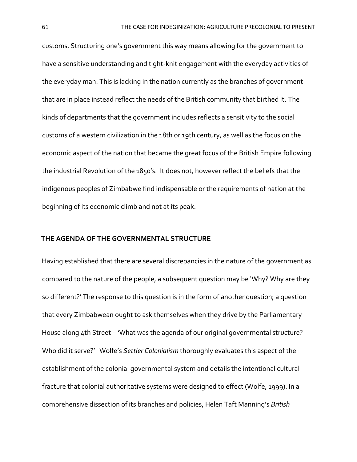customs. Structuring one's government this way means allowing for the government to have a sensitive understanding and tight-knit engagement with the everyday activities of the everyday man. This is lacking in the nation currently as the branches of government that are in place instead reflect the needs of the British community that birthed it. The kinds of departments that the government includes reflects a sensitivity to the social customs of a western civilization in the 18th or 19th century, as well as the focus on the economic aspect of the nation that became the great focus of the British Empire following the industrial Revolution of the 1850's. It does not, however reflect the beliefs that the indigenous peoples of Zimbabwe find indispensable or the requirements of nation at the beginning of its economic climb and not at its peak.

#### **THE AGENDA OF THE GOVERNMENTAL STRUCTURE**

Having established that there are several discrepancies in the nature of the government as compared to the nature of the people, a subsequent question may be 'Why? Why are they so different?' The response to this question is in the form of another question; a question that every Zimbabwean ought to ask themselves when they drive by the Parliamentary House along 4th Street – 'What was the agenda of our original governmental structure? Who did it serve?' Wolfe's *Settler Colonialism* thoroughly evaluates this aspect of the establishment of the colonial governmental system and details the intentional cultural fracture that colonial authoritative systems were designed to effect (Wolfe, 1999). In a comprehensive dissection of its branches and policies, Helen Taft Manning's *British*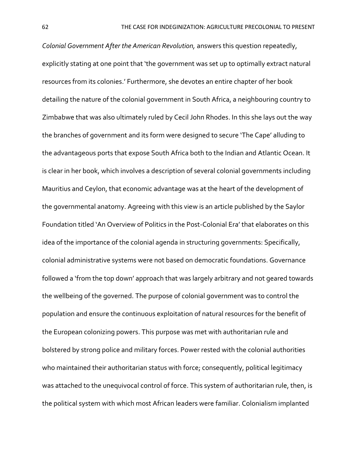*Colonial Government After the American Revolution,* answers this question repeatedly, explicitly stating at one point that 'the government was set up to optimally extract natural resources from its colonies.' Furthermore, she devotes an entire chapter of her book detailing the nature of the colonial government in South Africa, a neighbouring country to Zimbabwe that was also ultimately ruled by Cecil John Rhodes. In this she lays out the way the branches of government and its form were designed to secure 'The Cape' alluding to the advantageous ports that expose South Africa both to the Indian and Atlantic Ocean. It is clear in her book, which involves a description of several colonial governments including Mauritius and Ceylon, that economic advantage was at the heart of the development of the governmental anatomy. Agreeing with this view is an article published by the Saylor Foundation titled 'An Overview of Politics in the Post-Colonial Era' that elaborates on this idea of the importance of the colonial agenda in structuring governments: Specifically, colonial administrative systems were not based on democratic foundations. Governance followed a 'from the top down' approach that was largely arbitrary and not geared towards the wellbeing of the governed. The purpose of colonial government was to control the population and ensure the continuous exploitation of natural resources for the benefit of the European colonizing powers. This purpose was met with authoritarian rule and bolstered by strong police and military forces. Power rested with the colonial authorities who maintained their authoritarian status with force; consequently, political legitimacy was attached to the unequivocal control of force. This system of authoritarian rule, then, is the political system with which most African leaders were familiar. Colonialism implanted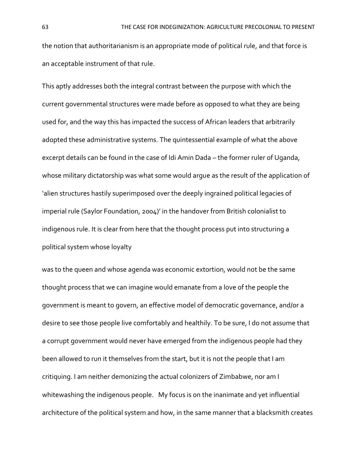the notion that authoritarianism is an appropriate mode of political rule, and that force is an acceptable instrument of that rule.

This aptly addresses both the integral contrast between the purpose with which the current governmental structures were made before as opposed to what they are being used for, and the way this has impacted the success of African leaders that arbitrarily adopted these administrative systems. The quintessential example of what the above excerpt details can be found in the case of Idi Amin Dada – the former ruler of Uganda, whose military dictatorship was what some would argue as the result of the application of 'alien structures hastily superimposed over the deeply ingrained political legacies of imperial rule (Saylor Foundation, 2004)' in the handover from British colonialist to indigenous rule. It is clear from here that the thought process put into structuring a political system whose loyalty

was to the queen and whose agenda was economic extortion, would not be the same thought process that we can imagine would emanate from a love of the people the government is meant to govern, an effective model of democratic governance, and/or a desire to see those people live comfortably and healthily. To be sure, I do not assume that a corrupt government would never have emerged from the indigenous people had they been allowed to run it themselves from the start, but it is not the people that I am critiquing. I am neither demonizing the actual colonizers of Zimbabwe, nor am I whitewashing the indigenous people. My focus is on the inanimate and yet influential architecture of the political system and how, in the same manner that a blacksmith creates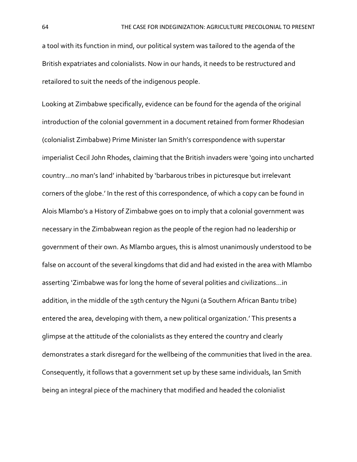a tool with its function in mind, our political system was tailored to the agenda of the British expatriates and colonialists. Now in our hands, it needs to be restructured and retailored to suit the needs of the indigenous people.

Looking at Zimbabwe specifically, evidence can be found for the agenda of the original introduction of the colonial government in a document retained from former Rhodesian (colonialist Zimbabwe) Prime Minister Ian Smith's correspondence with superstar imperialist Cecil John Rhodes, claiming that the British invaders were 'going into uncharted country…no man's land' inhabited by 'barbarous tribes in picturesque but irrelevant corners of the globe.' In the rest of this correspondence, of which a copy can be found in Alois Mlambo's a History of Zimbabwe goes on to imply that a colonial government was necessary in the Zimbabwean region as the people of the region had no leadership or government of their own. As Mlambo argues, this is almost unanimously understood to be false on account of the several kingdoms that did and had existed in the area with Mlambo asserting 'Zimbabwe was for long the home of several polities and civilizations…in addition, in the middle of the 19th century the Nguni (a Southern African Bantu tribe) entered the area, developing with them, a new political organization.' This presents a glimpse at the attitude of the colonialists as they entered the country and clearly demonstrates a stark disregard for the wellbeing of the communities that lived in the area. Consequently, it follows that a government set up by these same individuals, Ian Smith being an integral piece of the machinery that modified and headed the colonialist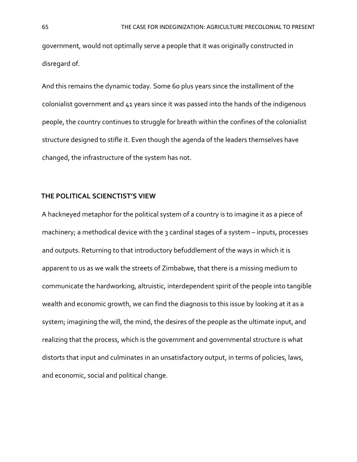government, would not optimally serve a people that it was originally constructed in disregard of.

And this remains the dynamic today. Some 60 plus years since the installment of the colonialist government and 41 years since it was passed into the hands of the indigenous people, the country continues to struggle for breath within the confines of the colonialist structure designed to stifle it. Even though the agenda of the leaders themselves have changed, the infrastructure of the system has not.

### **THE POLITICAL SCIENCTIST'S VIEW**

A hackneyed metaphor for the political system of a country is to imagine it as a piece of machinery; a methodical device with the 3 cardinal stages of a system – inputs, processes and outputs. Returning to that introductory befuddlement of the ways in which it is apparent to us as we walk the streets of Zimbabwe, that there is a missing medium to communicate the hardworking, altruistic, interdependent spirit of the people into tangible wealth and economic growth, we can find the diagnosis to this issue by looking at it as a system; imagining the will, the mind, the desires of the people as the ultimate input, and realizing that the process, which is the government and governmental structure is what distorts that input and culminates in an unsatisfactory output, in terms of policies, laws, and economic, social and political change.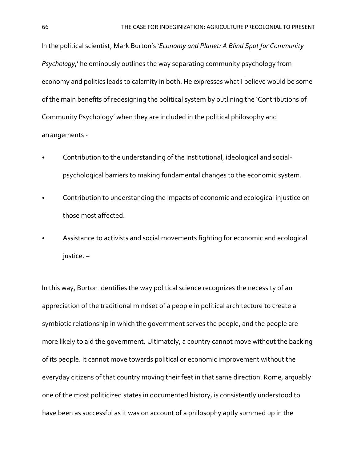In the political scientist, Mark Burton's '*Economy and Planet: A Blind Spot for Community Psychology*,' he ominously outlines the way separating community psychology from economy and politics leads to calamity in both. He expresses what I believe would be some of the main benefits of redesigning the political system by outlining the 'Contributions of Community Psychology' when they are included in the political philosophy and arrangements -

- Contribution to the understanding of the institutional, ideological and socialpsychological barriers to making fundamental changes to the economic system.
- Contribution to understanding the impacts of economic and ecological injustice on those most affected.
- Assistance to activists and social movements fighting for economic and ecological justice. –

In this way, Burton identifies the way political science recognizes the necessity of an appreciation of the traditional mindset of a people in political architecture to create a symbiotic relationship in which the government serves the people, and the people are more likely to aid the government. Ultimately, a country cannot move without the backing of its people. It cannot move towards political or economic improvement without the everyday citizens of that country moving their feet in that same direction. Rome, arguably one of the most politicized states in documented history, is consistently understood to have been as successful as it was on account of a philosophy aptly summed up in the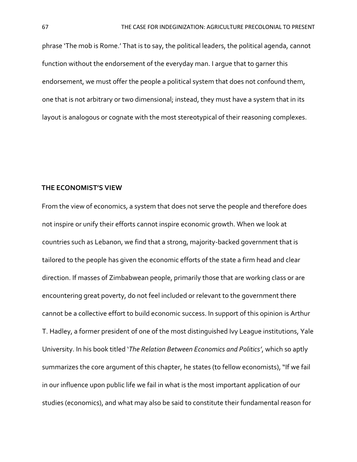phrase 'The mob is Rome.' That is to say, the political leaders, the political agenda, cannot function without the endorsement of the everyday man. I argue that to garner this endorsement, we must offer the people a political system that does not confound them, one that is not arbitrary or two dimensional; instead, they must have a system that in its layout is analogous or cognate with the most stereotypical of their reasoning complexes.

#### **THE ECONOMIST'S VIEW**

From the view of economics, a system that does not serve the people and therefore does not inspire or unify their efforts cannot inspire economic growth. When we look at countries such as Lebanon, we find that a strong, majority-backed government that is tailored to the people has given the economic efforts of the state a firm head and clear direction. If masses of Zimbabwean people, primarily those that are working class or are encountering great poverty, do not feel included or relevant to the government there cannot be a collective effort to build economic success. In support of this opinion is Arthur T. Hadley, a former president of one of the most distinguished Ivy League institutions, Yale University. In his book titled '*The Relation Between Economics and Politics'*, which so aptly summarizes the core argument of this chapter, he states (to fellow economists), "If we fail in our influence upon public life we fail in what is the most important application of our studies (economics), and what may also be said to constitute their fundamental reason for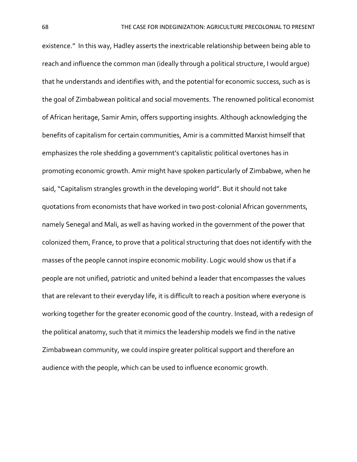existence." In this way, Hadley asserts the inextricable relationship between being able to reach and influence the common man (ideally through a political structure, I would argue) that he understands and identifies with, and the potential for economic success, such as is the goal of Zimbabwean political and social movements. The renowned political economist of African heritage, Samir Amin, offers supporting insights. Although acknowledging the benefits of capitalism for certain communities, Amir is a committed Marxist himself that emphasizes the role shedding a government's capitalistic political overtones has in promoting economic growth. Amir might have spoken particularly of Zimbabwe, when he said, "Capitalism strangles growth in the developing world". But it should not take quotations from economists that have worked in two post-colonial African governments, namely Senegal and Mali, as well as having worked in the government of the power that colonized them, France, to prove that a political structuring that does not identify with the masses of the people cannot inspire economic mobility. Logic would show us that if a people are not unified, patriotic and united behind a leader that encompasses the values that are relevant to their everyday life, it is difficult to reach a position where everyone is working together for the greater economic good of the country. Instead, with a redesign of the political anatomy, such that it mimics the leadership models we find in the native Zimbabwean community, we could inspire greater political support and therefore an audience with the people, which can be used to influence economic growth.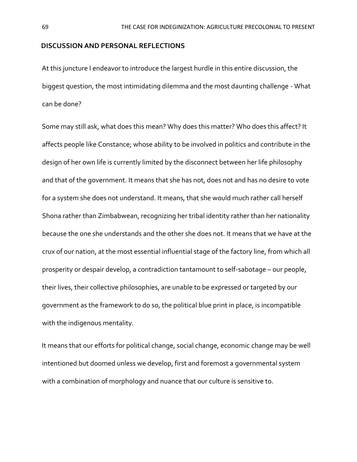#### **DISCUSSION AND PERSONAL REFLECTIONS**

At this juncture I endeavor to introduce the largest hurdle in this entire discussion, the biggest question, the most intimidating dilemma and the most daunting challenge - What can be done?

Some may still ask, what does this mean? Why does this matter? Who does this affect? It affects people like Constance; whose ability to be involved in politics and contribute in the design of her own life is currently limited by the disconnect between her life philosophy and that of the government. It means that she has not, does not and has no desire to vote for a system she does not understand. It means, that she would much rather call herself Shona rather than Zimbabwean, recognizing her tribal identity rather than her nationality because the one she understands and the other she does not. It means that we have at the crux of our nation, at the most essential influential stage of the factory line, from which all prosperity or despair develop, a contradiction tantamount to self-sabotage – our people, their lives, their collective philosophies, are unable to be expressed or targeted by our government as the framework to do so, the political blue print in place, is incompatible with the indigenous mentality.

It means that our efforts for political change, social change, economic change may be well intentioned but doomed unless we develop, first and foremost a governmental system with a combination of morphology and nuance that our culture is sensitive to.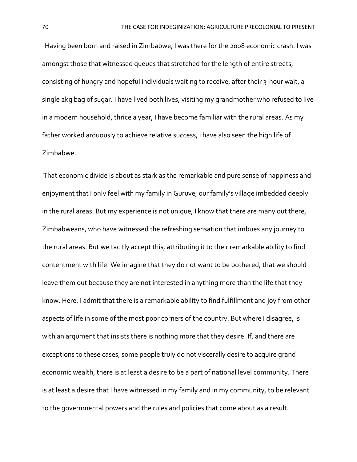Having been born and raised in Zimbabwe, I was there for the 2008 economic crash. I was amongst those that witnessed queues that stretched for the length of entire streets, consisting of hungry and hopeful individuals waiting to receive, after their 3-hour wait, a single 2kg bag of sugar. I have lived both lives, visiting my grandmother who refused to live in a modern household, thrice a year, I have become familiar with the rural areas. As my father worked arduously to achieve relative success, I have also seen the high life of Zimbabwe.

That economic divide is about as stark as the remarkable and pure sense of happiness and enjoyment that I only feel with my family in Guruve, our family's village imbedded deeply in the rural areas. But my experience is not unique, I know that there are many out there, Zimbabweans, who have witnessed the refreshing sensation that imbues any journey to the rural areas. But we tacitly accept this, attributing it to their remarkable ability to find contentment with life. We imagine that they do not want to be bothered, that we should leave them out because they are not interested in anything more than the life that they know. Here, I admit that there is a remarkable ability to find fulfillment and joy from other aspects of life in some of the most poor corners of the country. But where I disagree, is with an argument that insists there is nothing more that they desire. If, and there are exceptions to these cases, some people truly do not viscerally desire to acquire grand economic wealth, there is at least a desire to be a part of national level community. There is at least a desire that I have witnessed in my family and in my community, to be relevant to the governmental powers and the rules and policies that come about as a result.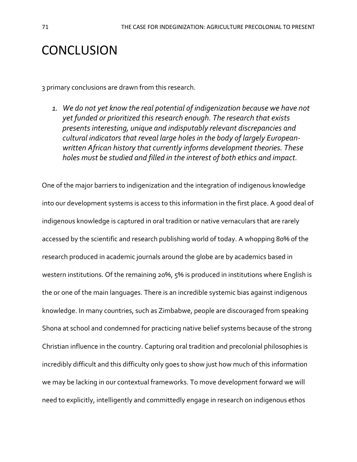# **CONCLUSION**

3 primary conclusions are drawn from this research.

*1. We do not yet know the real potential of indigenization because we have not yet funded or prioritized this research enough. The research that exists presents interesting, unique and indisputably relevant discrepancies and cultural indicators that reveal large holes in the body of largely Europeanwritten African history that currently informs development theories. These holes must be studied and filled in the interest of both ethics and impact.* 

One of the major barriers to indigenization and the integration of indigenous knowledge into our development systems is access to this information in the first place. A good deal of indigenous knowledge is captured in oral tradition or native vernaculars that are rarely accessed by the scientific and research publishing world of today. A whopping 80% of the research produced in academic journals around the globe are by academics based in western institutions. Of the remaining 20%, 5% is produced in institutions where English is the or one of the main languages. There is an incredible systemic bias against indigenous knowledge. In many countries, such as Zimbabwe, people are discouraged from speaking Shona at school and condemned for practicing native belief systems because of the strong Christian influence in the country. Capturing oral tradition and precolonial philosophies is incredibly difficult and this difficulty only goes to show just how much of this information we may be lacking in our contextual frameworks. To move development forward we will need to explicitly, intelligently and committedly engage in research on indigenous ethos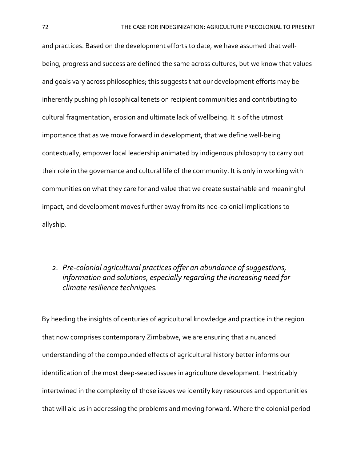and practices. Based on the development efforts to date, we have assumed that wellbeing, progress and success are defined the same across cultures, but we know that values and goals vary across philosophies; this suggests that our development efforts may be inherently pushing philosophical tenets on recipient communities and contributing to cultural fragmentation, erosion and ultimate lack of wellbeing. It is of the utmost importance that as we move forward in development, that we define well-being contextually, empower local leadership animated by indigenous philosophy to carry out their role in the governance and cultural life of the community. It is only in working with communities on what they care for and value that we create sustainable and meaningful impact, and development moves further away from its neo-colonial implications to allyship.

### *2. Pre-colonial agricultural practices offer an abundance of suggestions, information and solutions, especially regarding the increasing need for climate resilience techniques.*

By heeding the insights of centuries of agricultural knowledge and practice in the region that now comprises contemporary Zimbabwe, we are ensuring that a nuanced understanding of the compounded effects of agricultural history better informs our identification of the most deep-seated issues in agriculture development. Inextricably intertwined in the complexity of those issues we identify key resources and opportunities that will aid us in addressing the problems and moving forward. Where the colonial period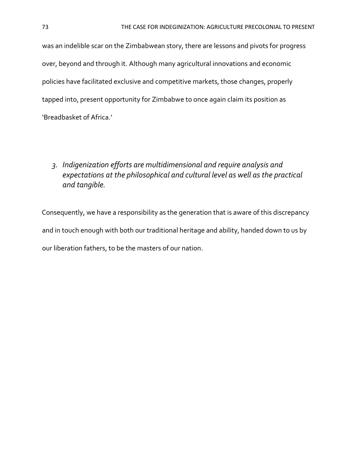was an indelible scar on the Zimbabwean story, there are lessons and pivots for progress over, beyond and through it. Although many agricultural innovations and economic policies have facilitated exclusive and competitive markets, those changes, properly tapped into, present opportunity for Zimbabwe to once again claim its position as 'Breadbasket of Africa.'

## *3. Indigenization efforts are multidimensional and require analysis and expectations at the philosophical and cultural level as well as the practical and tangible.*

Consequently, we have a responsibility as the generation that is aware of this discrepancy and in touch enough with both our traditional heritage and ability, handed down to us by our liberation fathers, to be the masters of our nation.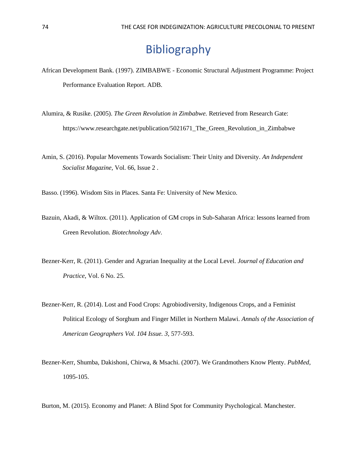## Bibliography

- African Development Bank. (1997). ZIMBABWE Economic Structural Adjustment Programme: Project Performance Evaluation Report. ADB.
- Alumira, & Rusike. (2005). *The Green Revolution in Zimbabwe.* Retrieved from Research Gate: https://www.researchgate.net/publication/5021671\_The\_Green\_Revolution\_in\_Zimbabwe
- Amin, S. (2016). Popular Movements Towards Socialism: Their Unity and Diversity. *An Independent Socialist Magazine,* Vol. 66, Issue 2 .

Basso. (1996). Wisdom Sits in Places. Santa Fe: University of New Mexico.

- Bazuin, Akadi, & Wiltox. (2011). Application of GM crops in Sub-Saharan Africa: lessons learned from Green Revolution. *Biotechnology Adv*.
- Bezner-Kerr, R. (2011). Gender and Agrarian Inequality at the Local Level. *Journal of Education and Practice*, Vol. 6 No. 25.
- Bezner-Kerr, R. (2014). Lost and Food Crops: Agrobiodiversity, Indigenous Crops, and a Feminist Political Ecology of Sorghum and Finger Millet in Northern Malawi. *Annals of the Association of American Geographers Vol. 104 Issue. 3,* 577-593.
- Bezner-Kerr, Shumba, Dakishoni, Chirwa, & Msachi. (2007). We Grandmothers Know Plenty. *PubMed*, 1095-105.
- Burton, M. (2015). Economy and Planet: A Blind Spot for Community Psychological. Manchester.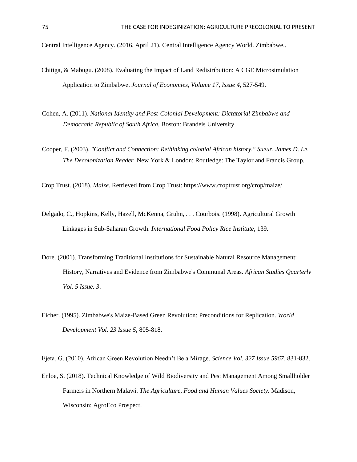Central Intelligence Agency. (2016, April 21). Central Intelligence Agency World. Zimbabwe..

- Chitiga, & Mabugu. (2008). Evaluating the Impact of Land Redistribution: A CGE Microsimulation Application to Zimbabwe. *Journal of Economies, Volume 17, Issue 4*, 527-549.
- Cohen, A. (2011). *National Identity and Post-Colonial Development: Dictatorial Zimbabwe and Democratic Republic of South Africa.* Boston: Brandeis University.
- Cooper, F. (2003). *"Conflict and Connection: Rethinking colonial African history." Sueur, James D. Le. The Decolonization Reader.* New York & London: Routledge: The Taylor and Francis Group.

Crop Trust. (2018). *Maize.* Retrieved from Crop Trust: https://www.croptrust.org/crop/maize/

- Delgado, C., Hopkins, Kelly, Hazell, McKenna, Gruhn, . . . Courbois. (1998). Agricultural Growth Linkages in Sub-Saharan Growth. *International Food Policy Rice Institute*, 139.
- Dore. (2001). Transforming Traditional Institutions for Sustainable Natural Resource Management: History, Narratives and Evidence from Zimbabwe's Communal Areas. *African Studies Quarterly Vol. 5 Issue. 3*.
- Eicher. (1995). Zimbabwe's Maize-Based Green Revolution: Preconditions for Replication. *World Development Vol. 23 Issue 5*, 805-818.

Ejeta, G. (2010). African Green Revolution Needn't Be a Mirage. *Science Vol. 327 Issue 5967*, 831-832.

Enloe, S. (2018). Technical Knowledge of Wild Biodiversity and Pest Management Among Smallholder Farmers in Northern Malawi. *The Agriculture, Food and Human Values Society.* Madison, Wisconsin: AgroEco Prospect.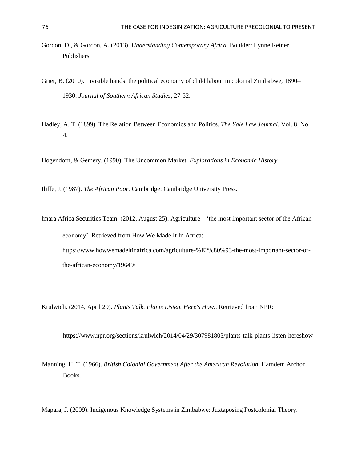- Gordon, D., & Gordon, A. (2013). *Understanding Contemporary Africa.* Boulder: Lynne Reiner Publishers.
- Grier, B. (2010). Invisible hands: the political economy of child labour in colonial Zimbabwe, 1890– 1930. *Journal of Southern African Studies*, 27-52.
- Hadley, A. T. (1899). The Relation Between Economics and Politics. *The Yale Law Journal*, Vol. 8, No. 4.

Hogendorn, & Gemery. (1990). The Uncommon Market. *Explorations in Economic History.*

Iliffe, J. (1987). *The African Poor.* Cambridge: Cambridge University Press.

Imara Africa Securities Team. (2012, August 25). Agriculture – 'the most important sector of the African economy'. Retrieved from How We Made It In Africa:

https://www.howwemadeitinafrica.com/agriculture-%E2%80%93-the-most-important-sector-ofthe-african-economy/19649/

Krulwich. (2014, April 29). *Plants Talk. Plants Listen. Here's How..* Retrieved from NPR:

https://www.npr.org/sections/krulwich/2014/04/29/307981803/plants-talk-plants-listen-hereshow

Manning, H. T. (1966). *British Colonial Government After the American Revolution.* Hamden: Archon Books.

Mapara, J. (2009). Indigenous Knowledge Systems in Zimbabwe: Juxtaposing Postcolonial Theory.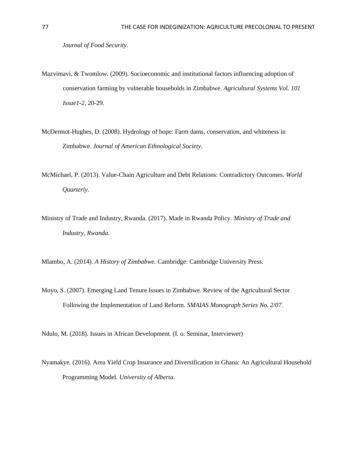- Mazvimavi, & Twomlow. (2009). Socioeconomic and institutional factors influencing adoption of conservation farming by vulnerable households in Zimbabwe. *Agricultural Systems Vol. 101 Issue1-2*, 20-29.
- McDermot-Hughes, D. (2008). Hydrology of hope: Farm dams, conservation, and whiteness in Zimbabwe. *Journal of American Ethnological Society*.
- McMichael, P. (2013). Value-Chain Agriculture and Debt Relations: Contradictory Outcomes. *World Quarterly.*
- Ministry of Trade and Industry, Rwanda. (2017). Made in Rwanda Policy. *Ministry of Trade and Industry, Rwanda*.

Mlambo, A. (2014). *A History of Zimbabwe.* Cambridge: Cambridge University Press.

Moyo, S. (2007). Emerging Land Tenure Issues in Zimbabwe. Review of the Agricultural Sector Following the Implementation of Land Reform. *SMAIAS Monograph Series No. 2/07*.

Ndulo, M. (2018). Issues in African Development. (I. o. Seminar, Interviewer)

Nyamakye. (2016). Area Yield Crop Insurance and Diversification in Ghana: An Agricultural Household Programming Model. *University of Alberta.*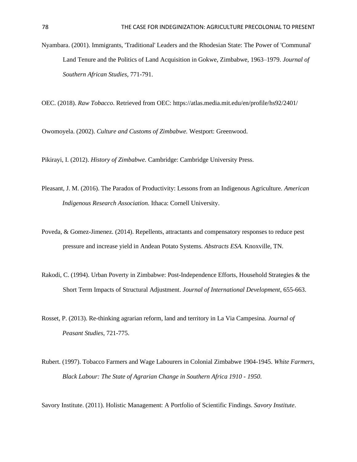Nyambara. (2001). Immigrants, 'Traditional' Leaders and the Rhodesian State: The Power of 'Communal' Land Tenure and the Politics of Land Acquisition in Gokwe, Zimbabwe, 1963–1979. *Journal of Southern African Studies*, 771-791.

OEC. (2018). *Raw Tobacco*. Retrieved from OEC: https://atlas.media.mit.edu/en/profile/hs92/2401/

Owomoyela. (2002). *Culture and Customs of Zimbabwe.* Westport: Greenwood.

Pikirayi, I. (2012). *History of Zimbabwe.* Cambridge: Cambridge University Press.

- Pleasant, J. M. (2016). The Paradox of Productivity: Lessons from an Indigenous Agriculture. *American Indigenous Research Association.* Ithaca: Cornell University.
- Poveda, & Gomez-Jimenez. (2014). Repellents, attractants and compensatory responses to reduce pest pressure and increase yield in Andean Potato Systems. *Abstracts ESA.* Knoxville, TN.
- Rakodi, C. (1994). Urban Poverty in Zimbabwe: Post-Independence Efforts, Household Strategies & the Short Term Impacts of Structural Adjustment. *Journal of International Development*, 655-663.
- Rosset, P. (2013). Re-thinking agrarian reform, land and territory in La Via Campesina. *Journal of Peasant Studies*, 721-775.
- Rubert. (1997). Tobacco Farmers and Wage Labourers in Colonial Zimbabwe 1904-1945. *White Farmers, Black Labour: The State of Agrarian Change in Southern Africa 1910 - 1950*.

Savory Institute. (2011). Holistic Management: A Portfolio of Scientific Findings. *Savory Institute*.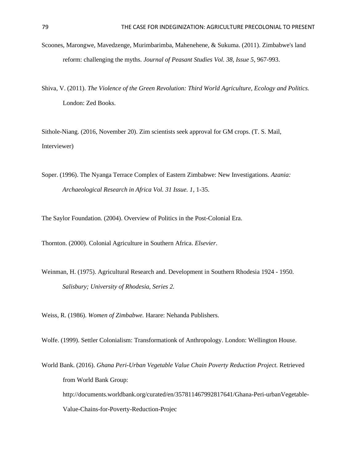- Scoones, Marongwe, Mavedzenge, Murimbarimba, Mahenehene, & Sukuma. (2011). Zimbabwe's land reform: challenging the myths. *Journal of Peasant Studies Vol. 38, Issue 5*, 967-993.
- Shiva, V. (2011). *The Violence of the Green Revolution: Third World Agriculture, Ecology and Politics.* London: Zed Books.

Sithole-Niang. (2016, November 20). Zim scientists seek approval for GM crops. (T. S. Mail, Interviewer)

Soper. (1996). The Nyanga Terrace Complex of Eastern Zimbabwe: New Investigations. *Azania: Archaeological Research in Africa Vol. 31 Issue. 1*, 1-35.

The Saylor Foundation. (2004). Overview of Politics in the Post-Colonial Era.

Thornton. (2000). Colonial Agriculture in Southern Africa. *Elsevier*.

Weinman, H. (1975). Agricultural Research and. Development in Southern Rhodesia 1924 - 1950. *Salisbury; University of Rhodesia, Series 2.*

Weiss, R. (1986). *Women of Zimbabwe.* Harare: Nehanda Publishers.

Wolfe. (1999). Settler Colonialism: Transformationk of Anthropology. London: Wellington House.

World Bank. (2016). *Ghana Peri-Urban Vegetable Value Chain Poverty Reduction Project.* Retrieved from World Bank Group: http://documents.worldbank.org/curated/en/357811467992817641/Ghana-Peri-urbanVegetable-Value-Chains-for-Poverty-Reduction-Projec